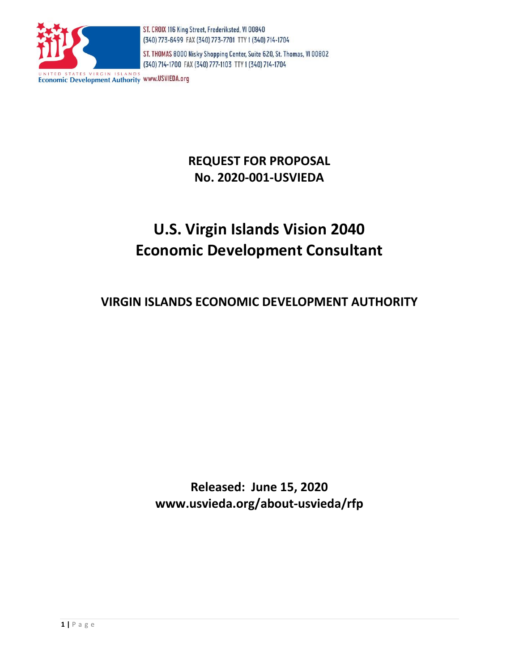

ST. THOMAS 8000 Nisky Shopping Center, Suite 620, St. Thomas, VI 00802 (340) 714-1700 FAX (340) 777-1103 TTY 1 (340) 714-1704

**Economic Development Authority WWW.USVIEDA.org** 

# **REQUEST FOR PROPOSAL No. 2020-001-USVIEDA**

# **U.S. Virgin Islands Vision 2040 Economic Development Consultant**

# **VIRGIN ISLANDS ECONOMIC DEVELOPMENT AUTHORITY**

**Released: June 15, 2020 www.usvieda.org/about-usvieda/rfp**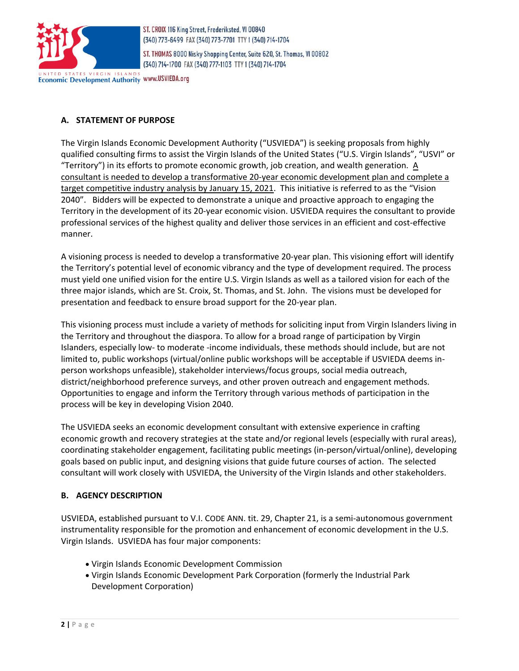

ST. THOMAS 8000 Nisky Shopping Center, Suite 620, St. Thomas, VI 00802 (340) 714-1700 FAX (340) 777-1103 TTY 1 (340) 714-1704

Economic Development Authority WWW.USVIEDA.org

# **A. STATEMENT OF PURPOSE**

The Virgin Islands Economic Development Authority ("USVIEDA") is seeking proposals from highly qualified consulting firms to assist the Virgin Islands of the United States ("U.S. Virgin Islands", "USVI" or "Territory") in its efforts to promote economic growth, job creation, and wealth generation. A consultant is needed to develop a transformative 20-year economic development plan and complete a target competitive industry analysis by January 15, 2021. This initiative is referred to as the "Vision 2040". Bidders will be expected to demonstrate a unique and proactive approach to engaging the Territory in the development of its 20-year economic vision. USVIEDA requires the consultant to provide professional services of the highest quality and deliver those services in an efficient and cost-effective manner.

A visioning process is needed to develop a transformative 20-year plan. This visioning effort will identify the Territory's potential level of economic vibrancy and the type of development required. The process must yield one unified vision for the entire U.S. Virgin Islands as well as a tailored vision for each of the three major islands, which are St. Croix, St. Thomas, and St. John. The visions must be developed for presentation and feedback to ensure broad support for the 20-year plan.

This visioning process must include a variety of methods for soliciting input from Virgin Islanders living in the Territory and throughout the diaspora. To allow for a broad range of participation by Virgin Islanders, especially low- to moderate -income individuals, these methods should include, but are not limited to, public workshops (virtual/online public workshops will be acceptable if USVIEDA deems inperson workshops unfeasible), stakeholder interviews/focus groups, social media outreach, district/neighborhood preference surveys, and other proven outreach and engagement methods. Opportunities to engage and inform the Territory through various methods of participation in the process will be key in developing Vision 2040.

The USVIEDA seeks an economic development consultant with extensive experience in crafting economic growth and recovery strategies at the state and/or regional levels (especially with rural areas), coordinating stakeholder engagement, facilitating public meetings (in-person/virtual/online), developing goals based on public input, and designing visions that guide future courses of action. The selected consultant will work closely with USVIEDA, the University of the Virgin Islands and other stakeholders.

#### **B. AGENCY DESCRIPTION**

USVIEDA, established pursuant to V.I. CODE ANN. tit. 29, Chapter 21, is a semi-autonomous government instrumentality responsible for the promotion and enhancement of economic development in the U.S. Virgin Islands. USVIEDA has four major components:

- Virgin Islands Economic Development Commission
- Virgin Islands Economic Development Park Corporation (formerly the Industrial Park Development Corporation)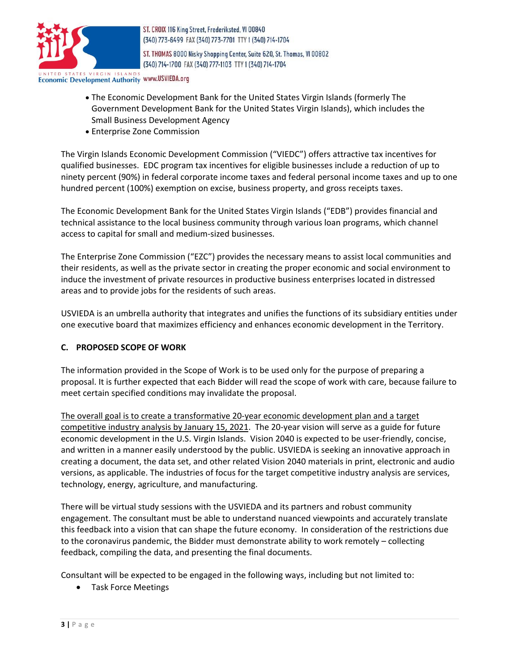

ST. THOMAS 8000 Nisky Shopping Center, Suite 620, St. Thomas, VI 00802 (340) 714-1700 FAX (340) 777-1103 TTY 1 (340) 714-1704

**Economic Development Authority WWW.USVIEDA.org** 

- The Economic Development Bank for the United States Virgin Islands (formerly The Government Development Bank for the United States Virgin Islands), which includes the Small Business Development Agency
- Enterprise Zone Commission

The Virgin Islands Economic Development Commission ("VIEDC") offers attractive [tax incentives](https://usvieda.org/incentives) for qualified businesses. EDC program tax incentives for eligible businesses include a reduction of up to ninety percent (90%) in federal corporate income taxes and federal personal income taxes and up to one hundred percent (100%) exemption on excise, business property, and gross receipts taxes.

The Economic Development Bank for the United States Virgin Islands ("EDB") provides financial and technical assistance to the local business community through various loan programs, which channel access to capital for small and medium-sized businesses.

The Enterprise Zone Commission ("EZC") provides the necessary means to assist local communities and their residents, as well as the private sector in creating the proper economic and social environment to induce the investment of private resources in productive business enterprises located in distressed areas and to provide jobs for the residents of such areas.

USVIEDA is an umbrella authority that integrates and unifies the functions of its subsidiary entities under one executive board that maximizes efficiency and enhances economic development in the Territory.

#### **C. PROPOSED SCOPE OF WORK**

The information provided in the Scope of Work is to be used only for the purpose of preparing a proposal. It is further expected that each Bidder will read the scope of work with care, because failure to meet certain specified conditions may invalidate the proposal.

The overall goal is to create a transformative 20-year economic development plan and a target competitive industry analysis by January 15, 2021. The 20-year vision will serve as a guide for future economic development in the U.S. Virgin Islands. Vision 2040 is expected to be user-friendly, concise, and written in a manner easily understood by the public. USVIEDA is seeking an innovative approach in creating a document, the data set, and other related Vision 2040 materials in print, electronic and audio versions, as applicable. The industries of focus for the target competitive industry analysis are services, technology, energy, agriculture, and manufacturing.

There will be virtual study sessions with the USVIEDA and its partners and robust community engagement. The consultant must be able to understand nuanced viewpoints and accurately translate this feedback into a vision that can shape the future economy. In consideration of the restrictions due to the coronavirus pandemic, the Bidder must demonstrate ability to work remotely – collecting feedback, compiling the data, and presenting the final documents.

Consultant will be expected to be engaged in the following ways, including but not limited to:

Task Force Meetings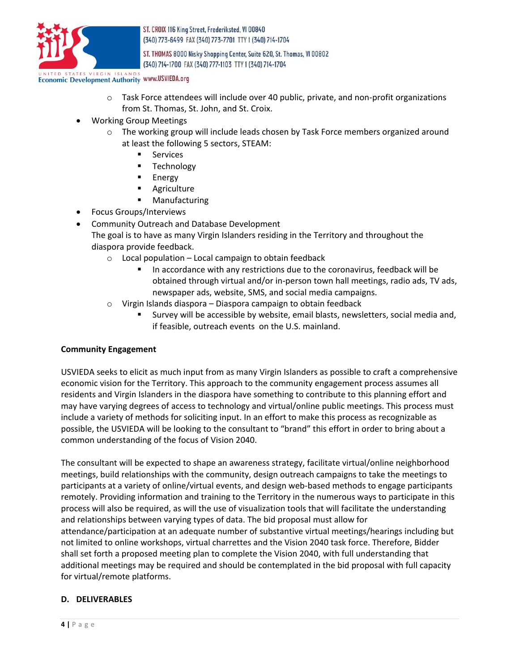

ST. THOMAS 8000 Nisky Shopping Center, Suite 620, St. Thomas, VI 00802 (340) 714-1700 FAX (340) 777-1103 TTY 1 (340) 714-1704

**Economic Development Authority WWW.USVIEDA.org** 

- o Task Force attendees will include over 40 public, private, and non-profit organizations from St. Thomas, St. John, and St. Croix.
- Working Group Meetings
	- $\circ$  The working group will include leads chosen by Task Force members organized around at least the following 5 sectors, STEAM:
		- Services
		- **Technology**
		- **Energy**
		- **Agriculture**
		- **■** Manufacturing
- Focus Groups/Interviews
- Community Outreach and Database Development The goal is to have as many Virgin Islanders residing in the Territory and throughout the diaspora provide feedback.
	- o Local population Local campaign to obtain feedback
		- In accordance with any restrictions due to the coronavirus, feedback will be obtained through virtual and/or in-person town hall meetings, radio ads, TV ads, newspaper ads, website, SMS, and social media campaigns.
	- $\circ$  Virgin Islands diaspora Diaspora campaign to obtain feedback
		- Survey will be accessible by website, email blasts, newsletters, social media and, if feasible, outreach events on the U.S. mainland.

#### **Community Engagement**

USVIEDA seeks to elicit as much input from as many Virgin Islanders as possible to craft a comprehensive economic vision for the Territory. This approach to the community engagement process assumes all residents and Virgin Islanders in the diaspora have something to contribute to this planning effort and may have varying degrees of access to technology and virtual/online public meetings. This process must include a variety of methods for soliciting input. In an effort to make this process as recognizable as possible, the USVIEDA will be looking to the consultant to "brand" this effort in order to bring about a common understanding of the focus of Vision 2040.

The consultant will be expected to shape an awareness strategy, facilitate virtual/online neighborhood meetings, build relationships with the community, design outreach campaigns to take the meetings to participants at a variety of online/virtual events, and design web-based methods to engage participants remotely. Providing information and training to the Territory in the numerous ways to participate in this process will also be required, as will the use of visualization tools that will facilitate the understanding and relationships between varying types of data. The bid proposal must allow for attendance/participation at an adequate number of substantive virtual meetings/hearings including but not limited to online workshops, virtual charrettes and the Vision 2040 task force. Therefore, Bidder shall set forth a proposed meeting plan to complete the Vision 2040, with full understanding that additional meetings may be required and should be contemplated in the bid proposal with full capacity for virtual/remote platforms.

#### **D. DELIVERABLES**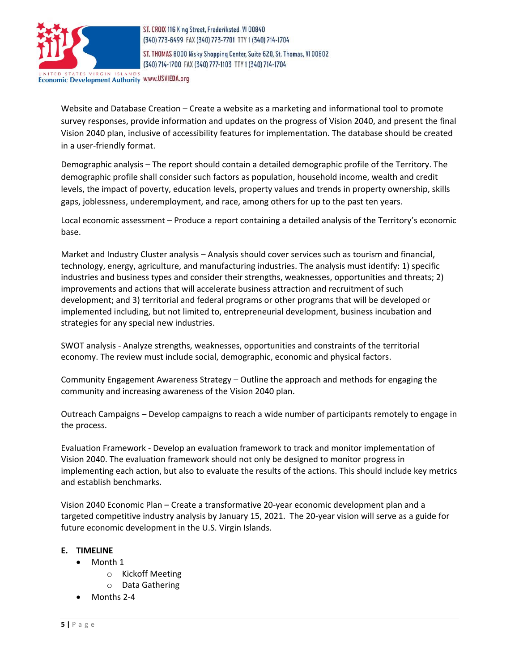

ST. THOMAS 8000 Nisky Shopping Center, Suite 620, St. Thomas, VI 00802 (340) 714-1700 FAX (340) 777-1103 TTY 1 (340) 714-1704

Economic Development Authority WWW.USVIEDA.org

Website and Database Creation – Create a website as a marketing and informational tool to promote survey responses, provide information and updates on the progress of Vision 2040, and present the final Vision 2040 plan, inclusive of accessibility features for implementation. The database should be created in a user-friendly format.

Demographic analysis – The report should contain a detailed demographic profile of the Territory. The demographic profile shall consider such factors as population, household income, wealth and credit levels, the impact of poverty, education levels, property values and trends in property ownership, skills gaps, joblessness, underemployment, and race, among others for up to the past ten years.

Local economic assessment – Produce a report containing a detailed analysis of the Territory's economic base.

Market and Industry Cluster analysis – Analysis should cover services such as tourism and financial, technology, energy, agriculture, and manufacturing industries. The analysis must identify: 1) specific industries and business types and consider their strengths, weaknesses, opportunities and threats; 2) improvements and actions that will accelerate business attraction and recruitment of such development; and 3) territorial and federal programs or other programs that will be developed or implemented including, but not limited to, entrepreneurial development, business incubation and strategies for any special new industries.

SWOT analysis - Analyze strengths, weaknesses, opportunities and constraints of the territorial economy. The review must include social, demographic, economic and physical factors.

Community Engagement Awareness Strategy – Outline the approach and methods for engaging the community and increasing awareness of the Vision 2040 plan.

Outreach Campaigns – Develop campaigns to reach a wide number of participants remotely to engage in the process.

Evaluation Framework - Develop an evaluation framework to track and monitor implementation of Vision 2040. The evaluation framework should not only be designed to monitor progress in implementing each action, but also to evaluate the results of the actions. This should include key metrics and establish benchmarks.

Vision 2040 Economic Plan – Create a transformative 20-year economic development plan and a targeted competitive industry analysis by January 15, 2021. The 20-year vision will serve as a guide for future economic development in the U.S. Virgin Islands.

#### **E. TIMELINE**

- Month 1
	- o Kickoff Meeting
	- o Data Gathering
- Months 2-4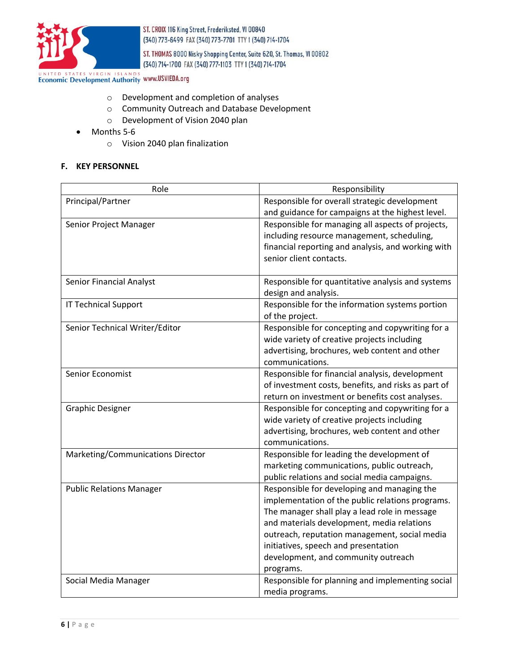

ST. THOMAS 8000 Nisky Shopping Center, Suite 620, St. Thomas, VI 00802 (340) 714-1700 FAX (340) 777-1103 TTY 1 (340) 714-1704

UNITED STATES VIRGIN ISLANDS WWW.USVIEDA.org

- o Development and completion of analyses
- o Community Outreach and Database Development
- o Development of Vision 2040 plan
- Months 5-6
	- o Vision 2040 plan finalization

#### **F. KEY PERSONNEL**

| Role                              | Responsibility                                      |
|-----------------------------------|-----------------------------------------------------|
| Principal/Partner                 | Responsible for overall strategic development       |
|                                   | and guidance for campaigns at the highest level.    |
| Senior Project Manager            | Responsible for managing all aspects of projects,   |
|                                   | including resource management, scheduling,          |
|                                   | financial reporting and analysis, and working with  |
|                                   | senior client contacts.                             |
|                                   |                                                     |
| <b>Senior Financial Analyst</b>   | Responsible for quantitative analysis and systems   |
|                                   | design and analysis.                                |
| <b>IT Technical Support</b>       | Responsible for the information systems portion     |
|                                   | of the project.                                     |
| Senior Technical Writer/Editor    | Responsible for concepting and copywriting for a    |
|                                   | wide variety of creative projects including         |
|                                   | advertising, brochures, web content and other       |
|                                   | communications.                                     |
| Senior Economist                  | Responsible for financial analysis, development     |
|                                   | of investment costs, benefits, and risks as part of |
|                                   | return on investment or benefits cost analyses.     |
| <b>Graphic Designer</b>           | Responsible for concepting and copywriting for a    |
|                                   | wide variety of creative projects including         |
|                                   | advertising, brochures, web content and other       |
|                                   | communications.                                     |
| Marketing/Communications Director | Responsible for leading the development of          |
|                                   | marketing communications, public outreach,          |
|                                   | public relations and social media campaigns.        |
| <b>Public Relations Manager</b>   | Responsible for developing and managing the         |
|                                   | implementation of the public relations programs.    |
|                                   | The manager shall play a lead role in message       |
|                                   | and materials development, media relations          |
|                                   | outreach, reputation management, social media       |
|                                   | initiatives, speech and presentation                |
|                                   | development, and community outreach                 |
|                                   | programs.                                           |
| Social Media Manager              | Responsible for planning and implementing social    |
|                                   | media programs.                                     |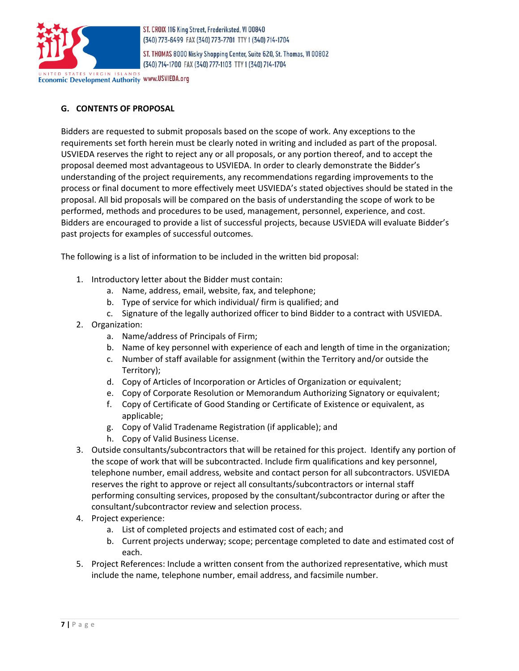

ST. THOMAS 8000 Nisky Shopping Center, Suite 620, St. Thomas, VI 00802 (340) 714-1700 FAX (340) 777-1103 TTY 1 (340) 714-1704

Economic Development Authority www.USVIEDA.org

# **G. CONTENTS OF PROPOSAL**

Bidders are requested to submit proposals based on the scope of work. Any exceptions to the requirements set forth herein must be clearly noted in writing and included as part of the proposal. USVIEDA reserves the right to reject any or all proposals, or any portion thereof, and to accept the proposal deemed most advantageous to USVIEDA. In order to clearly demonstrate the Bidder's understanding of the project requirements, any recommendations regarding improvements to the process or final document to more effectively meet USVIEDA's stated objectives should be stated in the proposal. All bid proposals will be compared on the basis of understanding the scope of work to be performed, methods and procedures to be used, management, personnel, experience, and cost. Bidders are encouraged to provide a list of successful projects, because USVIEDA will evaluate Bidder's past projects for examples of successful outcomes.

The following is a list of information to be included in the written bid proposal:

- 1. Introductory letter about the Bidder must contain:
	- a. Name, address, email, website, fax, and telephone;
	- b. Type of service for which individual/ firm is qualified; and
	- c. Signature of the legally authorized officer to bind Bidder to a contract with USVIEDA.
- 2. Organization:
	- a. Name/address of Principals of Firm;
	- b. Name of key personnel with experience of each and length of time in the organization;
	- c. Number of staff available for assignment (within the Territory and/or outside the Territory);
	- d. Copy of Articles of Incorporation or Articles of Organization or equivalent;
	- e. Copy of Corporate Resolution or Memorandum Authorizing Signatory or equivalent;
	- f. Copy of Certificate of Good Standing or Certificate of Existence or equivalent, as applicable;
	- g. Copy of Valid Tradename Registration (if applicable); and
	- h. Copy of Valid Business License.
- 3. Outside consultants/subcontractors that will be retained for this project. Identify any portion of the scope of work that will be subcontracted. Include firm qualifications and key personnel, telephone number, email address, website and contact person for all subcontractors. USVIEDA reserves the right to approve or reject all consultants/subcontractors or internal staff performing consulting services, proposed by the consultant/subcontractor during or after the consultant/subcontractor review and selection process.
- 4. Project experience:
	- a. List of completed projects and estimated cost of each; and
	- b. Current projects underway; scope; percentage completed to date and estimated cost of each.
- 5. Project References: Include a written consent from the authorized representative, which must include the name, telephone number, email address, and facsimile number.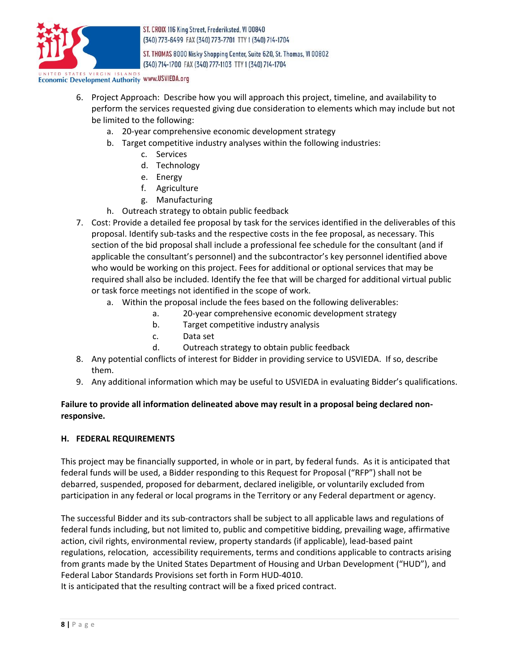

ST. THOMAS 8000 Nisky Shopping Center, Suite 620, St. Thomas, VI 00802 (340) 714-1700 FAX (340) 777-1103 TTY 1 (340) 714-1704

# **Economic Development Authority WWW.USVIEDA.org**

- 6. Project Approach: Describe how you will approach this project, timeline, and availability to perform the services requested giving due consideration to elements which may include but not be limited to the following:
	- a. 20-year comprehensive economic development strategy
	- b. Target competitive industry analyses within the following industries:
		- c. Services
		- d. Technology
		- e. Energy
		- f. Agriculture
		- g. Manufacturing
	- h. Outreach strategy to obtain public feedback
- 7. Cost: Provide a detailed fee proposal by task for the services identified in the deliverables of this proposal. Identify sub-tasks and the respective costs in the fee proposal, as necessary. This section of the bid proposal shall include a professional fee schedule for the consultant (and if applicable the consultant's personnel) and the subcontractor's key personnel identified above who would be working on this project. Fees for additional or optional services that may be required shall also be included. Identify the fee that will be charged for additional virtual public or task force meetings not identified in the scope of work.
	- a. Within the proposal include the fees based on the following deliverables:
		- a. 20-year comprehensive economic development strategy
		- b. Target competitive industry analysis
		- c. Data set
		- d. Outreach strategy to obtain public feedback
- 8. Any potential conflicts of interest for Bidder in providing service to USVIEDA. If so, describe them.
- 9. Any additional information which may be useful to USVIEDA in evaluating Bidder's qualifications.

# **Failure to provide all information delineated above may result in a proposal being declared nonresponsive.**

#### **H. FEDERAL REQUIREMENTS**

This project may be financially supported, in whole or in part, by federal funds. As it is anticipated that federal funds will be used, a Bidder responding to this Request for Proposal ("RFP") shall not be debarred, suspended, proposed for debarment, declared ineligible, or voluntarily excluded from participation in any federal or local programs in the Territory or any Federal department or agency.

The successful Bidder and its sub-contractors shall be subject to all applicable laws and regulations of federal funds including, but not limited to, public and competitive bidding, prevailing wage, affirmative action, civil rights, environmental review, property standards (if applicable), lead-based paint regulations, relocation, accessibility requirements, terms and conditions applicable to contracts arising from grants made by the United States Department of Housing and Urban Development ("HUD"), and Federal Labor Standards Provisions set forth in Form HUD-4010.

It is anticipated that the resulting contract will be a fixed priced contract.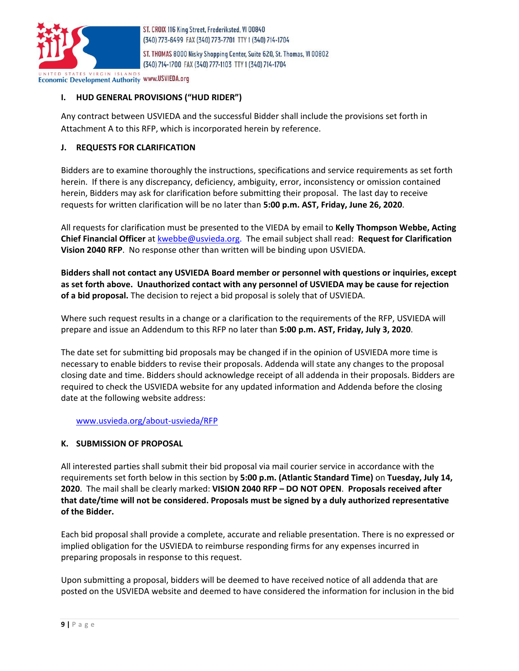

ST. THOMAS 8000 Nisky Shopping Center, Suite 620, St. Thomas, VI 00802 (340) 714-1700 FAX (340) 777-1103 TTY 1 (340) 714-1704

**Economic Development Authority www.USVIEDA.org** 

# **I. HUD GENERAL PROVISIONS ("HUD RIDER")**

Any contract between USVIEDA and the successful Bidder shall include the provisions set forth in Attachment A to this RFP, which is incorporated herein by reference.

#### **J. REQUESTS FOR CLARIFICATION**

Bidders are to examine thoroughly the instructions, specifications and service requirements as set forth herein. If there is any discrepancy, deficiency, ambiguity, error, inconsistency or omission contained herein, Bidders may ask for clarification before submitting their proposal. The last day to receive requests for written clarification will be no later than **5:00 p.m. AST, Friday, June 26, 2020**.

All requests for clarification must be presented to the VIEDA by email to **Kelly Thompson Webbe, Acting Chief Financial Officer** at [kwebbe@usvieda.org.](mailto:spetersen@usvieda.org) The email subject shall read: **Request for Clarification Vision 2040 RFP**. No response other than written will be binding upon USVIEDA.

**Bidders shall not contact any USVIEDA Board member or personnel with questions or inquiries, except as set forth above. Unauthorized contact with any personnel of USVIEDA may be cause for rejection of a bid proposal.** The decision to reject a bid proposal is solely that of USVIEDA.

Where such request results in a change or a clarification to the requirements of the RFP, USVIEDA will prepare and issue an Addendum to this RFP no later than **5:00 p.m. AST, Friday, July 3, 2020**.

The date set for submitting bid proposals may be changed if in the opinion of USVIEDA more time is necessary to enable bidders to revise their proposals. Addenda will state any changes to the proposal closing date and time. Bidders should acknowledge receipt of all addenda in their proposals. Bidders are required to check the USVIEDA website for any updated information and Addenda before the closing date at the following website address:

[www.usvieda.org/about-usvieda/RFP](http://www.usvieda.org/about-usvieda/RFP)

#### **K. SUBMISSION OF PROPOSAL**

All interested parties shall submit their bid proposal via mail courier service in accordance with the requirements set forth below in this section by **5:00 p.m. (Atlantic Standard Time)** on **Tuesday, July 14, 2020**. The mail shall be clearly marked: **VISION 2040 RFP – DO NOT OPEN**. **Proposals received after that date/time will not be considered. Proposals must be signed by a duly authorized representative of the Bidder.** 

Each bid proposal shall provide a complete, accurate and reliable presentation. There is no expressed or implied obligation for the USVIEDA to reimburse responding firms for any expenses incurred in preparing proposals in response to this request.

Upon submitting a proposal, bidders will be deemed to have received notice of all addenda that are posted on the USVIEDA website and deemed to have considered the information for inclusion in the bid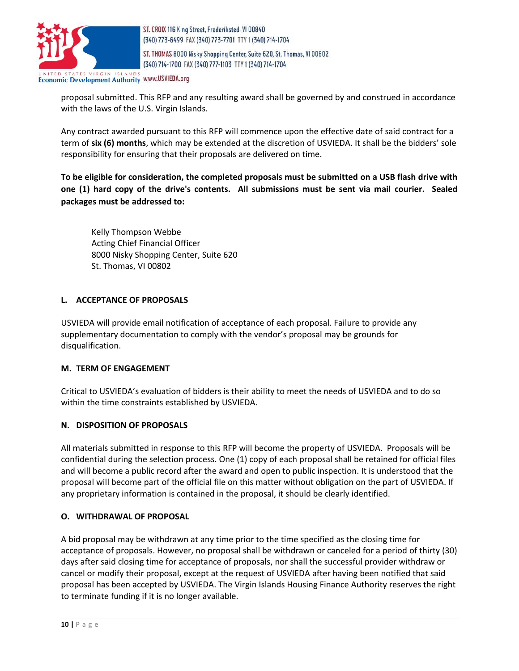

ST. THOMAS 8000 Nisky Shopping Center, Suite 620, St. Thomas, VI 00802 (340) 714-1700 FAX (340) 777-1103 TTY 1 (340) 714-1704

Economic Development Authority WWW.USVIEDA.org

proposal submitted. This RFP and any resulting award shall be governed by and construed in accordance with the laws of the U.S. Virgin Islands.

Any contract awarded pursuant to this RFP will commence upon the effective date of said contract for a term of **six (6) months**, which may be extended at the discretion of USVIEDA. It shall be the bidders' sole responsibility for ensuring that their proposals are delivered on time.

**To be eligible for consideration, the completed proposals must be submitted on a USB flash drive with one (1) hard copy of the drive's contents. All submissions must be sent via mail courier. Sealed packages must be addressed to:**

Kelly Thompson Webbe Acting Chief Financial Officer 8000 Nisky Shopping Center, Suite 620 St. Thomas, VI 00802

# **L. ACCEPTANCE OF PROPOSALS**

USVIEDA will provide email notification of acceptance of each proposal. Failure to provide any supplementary documentation to comply with the vendor's proposal may be grounds for disqualification.

#### **M. TERM OF ENGAGEMENT**

Critical to USVIEDA's evaluation of bidders is their ability to meet the needs of USVIEDA and to do so within the time constraints established by USVIEDA.

#### **N. DISPOSITION OF PROPOSALS**

All materials submitted in response to this RFP will become the property of USVIEDA. Proposals will be confidential during the selection process. One (1) copy of each proposal shall be retained for official files and will become a public record after the award and open to public inspection. It is understood that the proposal will become part of the official file on this matter without obligation on the part of USVIEDA. If any proprietary information is contained in the proposal, it should be clearly identified.

#### **O. WITHDRAWAL OF PROPOSAL**

A bid proposal may be withdrawn at any time prior to the time specified as the closing time for acceptance of proposals. However, no proposal shall be withdrawn or canceled for a period of thirty (30) days after said closing time for acceptance of proposals, nor shall the successful provider withdraw or cancel or modify their proposal, except at the request of USVIEDA after having been notified that said proposal has been accepted by USVIEDA. The Virgin Islands Housing Finance Authority reserves the right to terminate funding if it is no longer available.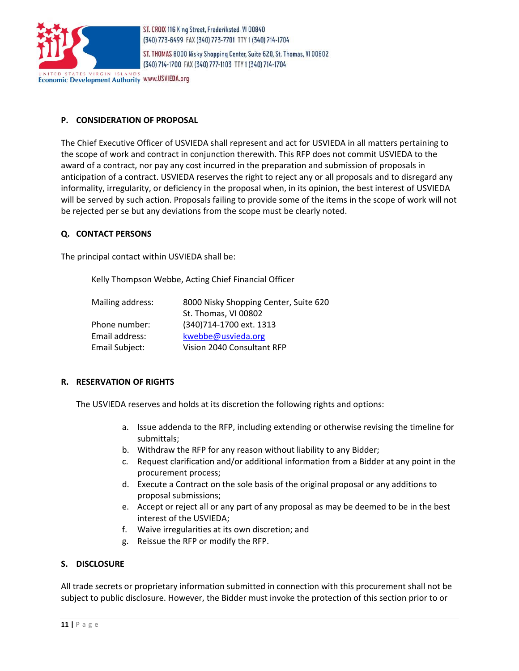

ST. THOMAS 8000 Nisky Shopping Center, Suite 620, St. Thomas, VI 00802 (340) 714-1700 FAX (340) 777-1103 TTY 1 (340) 714-1704

**Economic Development Authority WWW.USVIEDA.org** 

# **P. CONSIDERATION OF PROPOSAL**

The Chief Executive Officer of USVIEDA shall represent and act for USVIEDA in all matters pertaining to the scope of work and contract in conjunction therewith. This RFP does not commit USVIEDA to the award of a contract, nor pay any cost incurred in the preparation and submission of proposals in anticipation of a contract. USVIEDA reserves the right to reject any or all proposals and to disregard any informality, irregularity, or deficiency in the proposal when, in its opinion, the best interest of USVIEDA will be served by such action. Proposals failing to provide some of the items in the scope of work will not be rejected per se but any deviations from the scope must be clearly noted.

#### **Q. CONTACT PERSONS**

The principal contact within USVIEDA shall be:

Kelly Thompson Webbe, Acting Chief Financial Officer

| Mailing address: | 8000 Nisky Shopping Center, Suite 620 |
|------------------|---------------------------------------|
|                  | St. Thomas, VI 00802                  |
| Phone number:    | (340)714-1700 ext. 1313               |
| Email address:   | kwebbe@usvieda.org                    |
| Email Subject:   | Vision 2040 Consultant RFP            |

#### **R. RESERVATION OF RIGHTS**

The USVIEDA reserves and holds at its discretion the following rights and options:

- a. Issue addenda to the RFP, including extending or otherwise revising the timeline for submittals;
- b. Withdraw the RFP for any reason without liability to any Bidder;
- c. Request clarification and/or additional information from a Bidder at any point in the procurement process;
- d. Execute a Contract on the sole basis of the original proposal or any additions to proposal submissions;
- e. Accept or reject all or any part of any proposal as may be deemed to be in the best interest of the USVIEDA;
- f. Waive irregularities at its own discretion; and
- g. Reissue the RFP or modify the RFP.

#### **S. DISCLOSURE**

All trade secrets or proprietary information submitted in connection with this procurement shall not be subject to public disclosure. However, the Bidder must invoke the protection of this section prior to or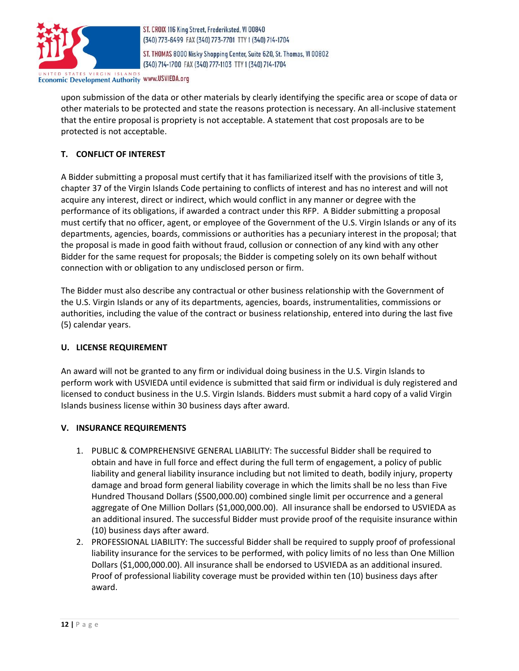

ST. THOMAS 8000 Nisky Shopping Center, Suite 620, St. Thomas, VI 00802 (340) 714-1700 FAX (340) 777-1103 TTY 1 (340) 714-1704

Economic Development Authority www.USVIEDA.org

upon submission of the data or other materials by clearly identifying the specific area or scope of data or other materials to be protected and state the reasons protection is necessary. An all-inclusive statement that the entire proposal is propriety is not acceptable. A statement that cost proposals are to be protected is not acceptable.

# **T. CONFLICT OF INTEREST**

A Bidder submitting a proposal must certify that it has familiarized itself with the provisions of title 3, chapter 37 of the Virgin Islands Code pertaining to conflicts of interest and has no interest and will not acquire any interest, direct or indirect, which would conflict in any manner or degree with the performance of its obligations, if awarded a contract under this RFP.A Bidder submitting a proposal must certify that no officer, agent, or employee of the Government of the U.S. Virgin Islands or any of its departments, agencies, boards, commissions or authorities has a pecuniary interest in the proposal; that the proposal is made in good faith without fraud, collusion or connection of any kind with any other Bidder for the same request for proposals; the Bidder is competing solely on its own behalf without connection with or obligation to any undisclosed person or firm.

The Bidder must also describe any contractual or other business relationship with the Government of the U.S. Virgin Islands or any of its departments, agencies, boards, instrumentalities, commissions or authorities, including the value of the contract or business relationship, entered into during the last five (5) calendar years.

#### **U. LICENSE REQUIREMENT**

An award will not be granted to any firm or individual doing business in the U.S. Virgin Islands to perform work with USVIEDA until evidence is submitted that said firm or individual is duly registered and licensed to conduct business in the U.S. Virgin Islands. Bidders must submit a hard copy of a valid Virgin Islands business license within 30 business days after award.

#### **V. INSURANCE REQUIREMENTS**

- 1. PUBLIC & COMPREHENSIVE GENERAL LIABILITY: The successful Bidder shall be required to obtain and have in full force and effect during the full term of engagement, a policy of public liability and general liability insurance including but not limited to death, bodily injury, property damage and broad form general liability coverage in which the limits shall be no less than Five Hundred Thousand Dollars (\$500,000.00) combined single limit per occurrence and a general aggregate of One Million Dollars (\$1,000,000.00). All insurance shall be endorsed to USVIEDA as an additional insured. The successful Bidder must provide proof of the requisite insurance within (10) business days after award.
- 2. PROFESSIONAL LIABILITY: The successful Bidder shall be required to supply proof of professional liability insurance for the services to be performed, with policy limits of no less than One Million Dollars (\$1,000,000.00). All insurance shall be endorsed to USVIEDA as an additional insured. Proof of professional liability coverage must be provided within ten (10) business days after award.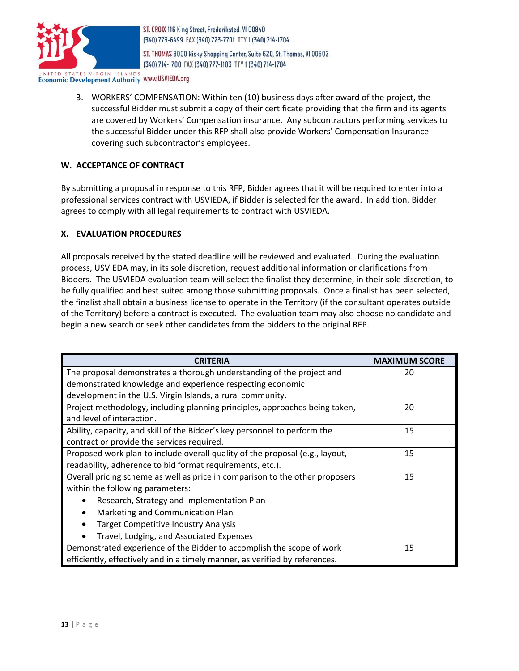

ST. THOMAS 8000 Nisky Shopping Center, Suite 620, St. Thomas, VI 00802 (340) 714-1700 FAX (340) 777-1103 TTY 1 (340) 714-1704

**Economic Development Authority www.USVIEDA.org** 

3. WORKERS' COMPENSATION: Within ten (10) business days after award of the project, the successful Bidder must submit a copy of their certificate providing that the firm and its agents are covered by Workers' Compensation insurance. Any subcontractors performing services to the successful Bidder under this RFP shall also provide Workers' Compensation Insurance covering such subcontractor's employees.

# **W. ACCEPTANCE OF CONTRACT**

By submitting a proposal in response to this RFP, Bidder agrees that it will be required to enter into a professional services contract with USVIEDA, if Bidder is selected for the award. In addition, Bidder agrees to comply with all legal requirements to contract with USVIEDA.

#### **X. EVALUATION PROCEDURES**

All proposals received by the stated deadline will be reviewed and evaluated. During the evaluation process, USVIEDA may, in its sole discretion, request additional information or clarifications from Bidders. The USVIEDA evaluation team will select the finalist they determine, in their sole discretion, to be fully qualified and best suited among those submitting proposals. Once a finalist has been selected, the finalist shall obtain a business license to operate in the Territory (if the consultant operates outside of the Territory) before a contract is executed. The evaluation team may also choose no candidate and begin a new search or seek other candidates from the bidders to the original RFP.

| <b>CRITERIA</b>                                                              | <b>MAXIMUM SCORE</b> |
|------------------------------------------------------------------------------|----------------------|
| The proposal demonstrates a thorough understanding of the project and        | 20                   |
| demonstrated knowledge and experience respecting economic                    |                      |
| development in the U.S. Virgin Islands, a rural community.                   |                      |
| Project methodology, including planning principles, approaches being taken,  | 20                   |
| and level of interaction.                                                    |                      |
| Ability, capacity, and skill of the Bidder's key personnel to perform the    | 15                   |
| contract or provide the services required.                                   |                      |
| Proposed work plan to include overall quality of the proposal (e.g., layout, | 15                   |
| readability, adherence to bid format requirements, etc.).                    |                      |
| Overall pricing scheme as well as price in comparison to the other proposers | 15                   |
| within the following parameters:                                             |                      |
| Research, Strategy and Implementation Plan                                   |                      |
| Marketing and Communication Plan                                             |                      |
| <b>Target Competitive Industry Analysis</b>                                  |                      |
| Travel, Lodging, and Associated Expenses                                     |                      |
| Demonstrated experience of the Bidder to accomplish the scope of work        | 15                   |
| efficiently, effectively and in a timely manner, as verified by references.  |                      |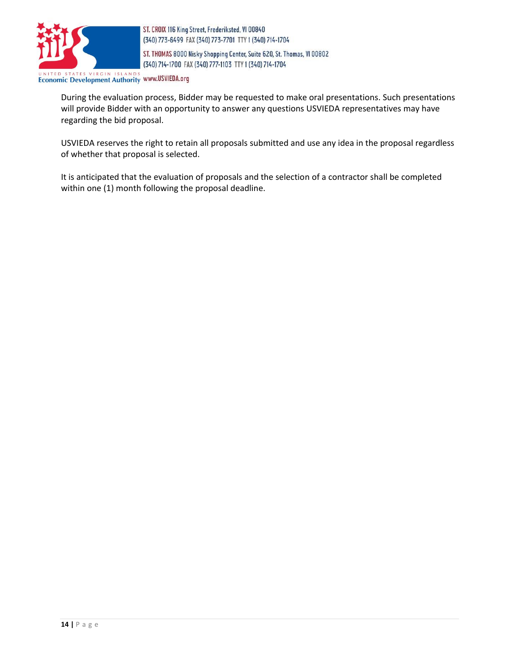

ST. THOMAS 8000 Nisky Shopping Center, Suite 620, St. Thomas, VI 00802 (340) 714-1700 FAX (340) 777-1103 TTY 1 (340) 714-1704

UNITED STATES VIRGIN ISLANDS ECONOMIC Development Authority WWW.USVIEDA.org

During the evaluation process, Bidder may be requested to make oral presentations. Such presentations will provide Bidder with an opportunity to answer any questions USVIEDA representatives may have regarding the bid proposal.

USVIEDA reserves the right to retain all proposals submitted and use any idea in the proposal regardless of whether that proposal is selected.

It is anticipated that the evaluation of proposals and the selection of a contractor shall be completed within one (1) month following the proposal deadline.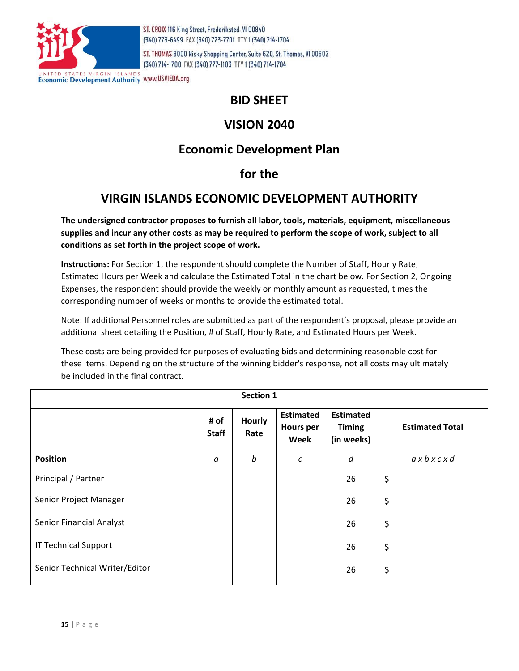

ST. THOMAS 8000 Nisky Shopping Center, Suite 620, St. Thomas, VI 00802 (340) 714-1700 FAX (340) 777-1103 TTY 1 (340) 714-1704

**Economic Development Authority WWW.USVIEDA.org** 

# **BID SHEET**

# **VISION 2040**

# **Economic Development Plan**

# **for the**

# **VIRGIN ISLANDS ECONOMIC DEVELOPMENT AUTHORITY**

**The undersigned contractor proposes to furnish all labor, tools, materials, equipment, miscellaneous supplies and incur any other costs as may be required to perform the scope of work, subject to all conditions as set forth in the project scope of work.** 

**Instructions:** For Section 1, the respondent should complete the Number of Staff, Hourly Rate, Estimated Hours per Week and calculate the Estimated Total in the chart below. For Section 2, Ongoing Expenses, the respondent should provide the weekly or monthly amount as requested, times the corresponding number of weeks or months to provide the estimated total.

Note: If additional Personnel roles are submitted as part of the respondent's proposal, please provide an additional sheet detailing the Position, # of Staff, Hourly Rate, and Estimated Hours per Week.

These costs are being provided for purposes of evaluating bids and determining reasonable cost for these items. Depending on the structure of the winning bidder's response, not all costs may ultimately be included in the final contract.

| Section 1                      |                      |                       |                                              |                                                 |                        |
|--------------------------------|----------------------|-----------------------|----------------------------------------------|-------------------------------------------------|------------------------|
|                                | # of<br><b>Staff</b> | <b>Hourly</b><br>Rate | <b>Estimated</b><br><b>Hours per</b><br>Week | <b>Estimated</b><br><b>Timing</b><br>(in weeks) | <b>Estimated Total</b> |
| <b>Position</b>                | a                    | b                     | C                                            | d                                               | axbxcxd                |
| Principal / Partner            |                      |                       |                                              | 26                                              | \$                     |
| Senior Project Manager         |                      |                       |                                              | 26                                              | \$                     |
| Senior Financial Analyst       |                      |                       |                                              | 26                                              | \$                     |
| <b>IT Technical Support</b>    |                      |                       |                                              | 26                                              | \$                     |
| Senior Technical Writer/Editor |                      |                       |                                              | 26                                              | \$                     |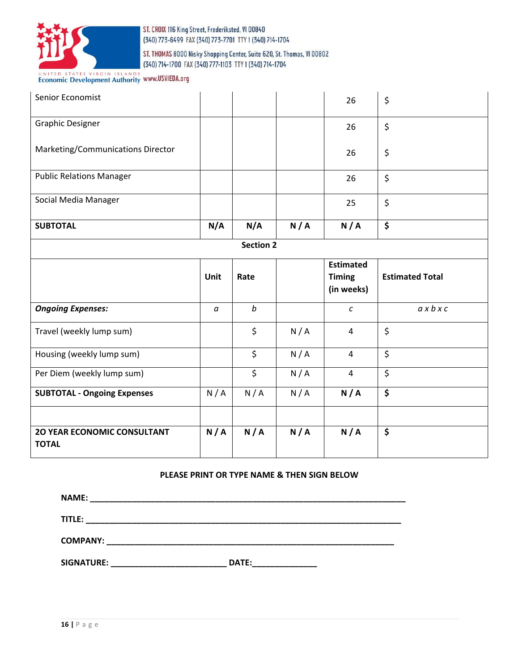

ST. THOMAS 8000 Nisky Shopping Center, Suite 620, St. Thomas, VI 00802 (340) 714-1700 FAX (340) 777-1103 TTY 1 (340) 714-1704

# UNITED STATES VIRGIN ISLANDS WWW.USVIEDA.org

| Senior Economist                   |          |                          |     | 26                          | \$                             |
|------------------------------------|----------|--------------------------|-----|-----------------------------|--------------------------------|
| <b>Graphic Designer</b>            |          |                          |     | 26                          | \$                             |
| Marketing/Communications Director  |          |                          |     | 26                          | \$                             |
| <b>Public Relations Manager</b>    |          |                          |     | 26                          | $\boldsymbol{\dot{\varsigma}}$ |
| Social Media Manager               |          |                          |     | 25                          | \$                             |
| <b>SUBTOTAL</b>                    | N/A      | N/A                      | N/A | N/A                         | \$                             |
|                                    |          | <b>Section 2</b>         |     |                             |                                |
|                                    |          |                          |     | <b>Estimated</b>            |                                |
|                                    |          |                          |     |                             |                                |
|                                    | Unit     | Rate                     |     | <b>Timing</b><br>(in weeks) | <b>Estimated Total</b>         |
| <b>Ongoing Expenses:</b>           | $\alpha$ | $\boldsymbol{b}$         |     | $\boldsymbol{c}$            | $a \times b \times c$          |
| Travel (weekly lump sum)           |          | \$                       | N/A | $\overline{4}$              | \$                             |
| Housing (weekly lump sum)          |          | \$                       | N/A | 4                           | \$                             |
| Per Diem (weekly lump sum)         |          | $\overline{\mathcal{S}}$ | N/A | 4                           | \$                             |
| <b>SUBTOTAL - Ongoing Expenses</b> | N/A      | N/A                      | N/A | N/A                         | \$                             |

#### **PLEASE PRINT OR TYPE NAME & THEN SIGN BELOW**

| <b>NAME:</b>    |       |
|-----------------|-------|
| TITLE:          |       |
| <b>COMPANY:</b> |       |
| SIGNATURE:      | DATE: |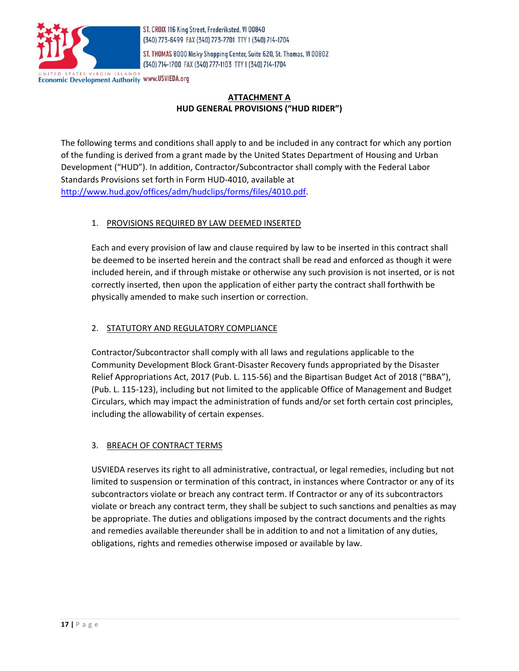

ST. THOMAS 8000 Nisky Shopping Center, Suite 620, St. Thomas, VI 00802 (340) 714-1700 FAX (340) 777-1103 TTY 1 (340) 714-1704

**Economic Development Authority WWW.USVIEDA.org** 

# **ATTACHMENT A HUD GENERAL PROVISIONS ("HUD RIDER")**

The following terms and conditions shall apply to and be included in any contract for which any portion of the funding is derived from a grant made by the United States Department of Housing and Urban Development ("HUD"). In addition, Contractor/Subcontractor shall comply with the Federal Labor Standards Provisions set forth in Form HUD-4010, available at [http://www.hud.gov/offices/adm/hudclips/forms/files/4010.pdf.](http://www.hud.gov/offices/adm/hudclips/forms/files/4010.pdf)

# 1. PROVISIONS REQUIRED BY LAW DEEMED INSERTED

Each and every provision of law and clause required by law to be inserted in this contract shall be deemed to be inserted herein and the contract shall be read and enforced as though it were included herein, and if through mistake or otherwise any such provision is not inserted, or is not correctly inserted, then upon the application of either party the contract shall forthwith be physically amended to make such insertion or correction.

# 2. STATUTORY AND REGULATORY COMPLIANCE

Contractor/Subcontractor shall comply with all laws and regulations applicable to the Community Development Block Grant-Disaster Recovery funds appropriated by the Disaster Relief Appropriations Act, 2017 (Pub. L. 115-56) and the Bipartisan Budget Act of 2018 ("BBA"), (Pub. L. 115-123), including but not limited to the applicable Office of Management and Budget Circulars, which may impact the administration of funds and/or set forth certain cost principles, including the allowability of certain expenses.

# 3. BREACH OF CONTRACT TERMS

USVIEDA reserves its right to all administrative, contractual, or legal remedies, including but not limited to suspension or termination of this contract, in instances where Contractor or any of its subcontractors violate or breach any contract term. If Contractor or any of its subcontractors violate or breach any contract term, they shall be subject to such sanctions and penalties as may be appropriate. The duties and obligations imposed by the contract documents and the rights and remedies available thereunder shall be in addition to and not a limitation of any duties, obligations, rights and remedies otherwise imposed or available by law.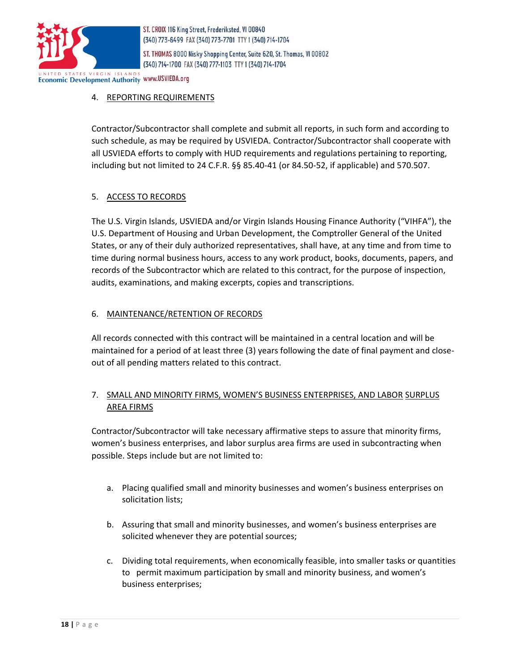

ST. THOMAS 8000 Nisky Shopping Center, Suite 620, St. Thomas, VI 00802 (340) 714-1700 FAX (340) 777-1103 TTY 1 (340) 714-1704

**Economic Development Authority WWW.USVIEDA.org** 

# 4. REPORTING REQUIREMENTS

Contractor/Subcontractor shall complete and submit all reports, in such form and according to such schedule, as may be required by USVIEDA. Contractor/Subcontractor shall cooperate with all USVIEDA efforts to comply with HUD requirements and regulations pertaining to reporting, including but not limited to 24 C.F.R. §§ 85.40-41 (or 84.50-52, if applicable) and 570.507.

# 5. ACCESS TO RECORDS

The U.S. Virgin Islands, USVIEDA and/or Virgin Islands Housing Finance Authority ("VIHFA"), the U.S. Department of Housing and Urban Development, the Comptroller General of the United States, or any of their duly authorized representatives, shall have, at any time and from time to time during normal business hours, access to any work product, books, documents, papers, and records of the Subcontractor which are related to this contract, for the purpose of inspection, audits, examinations, and making excerpts, copies and transcriptions.

# 6. MAINTENANCE/RETENTION OF RECORDS

All records connected with this contract will be maintained in a central location and will be maintained for a period of at least three (3) years following the date of final payment and closeout of all pending matters related to this contract.

# 7. SMALL AND MINORITY FIRMS, WOMEN'S BUSINESS ENTERPRISES, AND LABOR SURPLUS AREA FIRMS

Contractor/Subcontractor will take necessary affirmative steps to assure that minority firms, women's business enterprises, and labor surplus area firms are used in subcontracting when possible. Steps include but are not limited to:

- a. Placing qualified small and minority businesses and women's business enterprises on solicitation lists;
- b. Assuring that small and minority businesses, and women's business enterprises are solicited whenever they are potential sources;
- c. Dividing total requirements, when economically feasible, into smaller tasks or quantities to permit maximum participation by small and minority business, and women's business enterprises;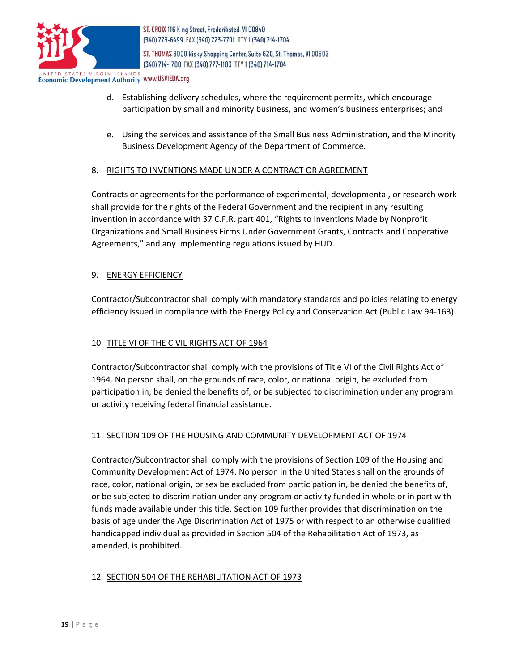

ST. CROIX 116 King Street, Frederiksted, VI 00840 (340) 773-6499 FAX (340) 773-7701 TTY 1 (340) 714-1704 ST. THOMAS 8000 Nisky Shopping Center, Suite 620, St. Thomas, VI 00802

(340) 714-1700 FAX (340) 777-1103 TTY 1 (340) 714-1704

**Economic Development Authority WWW.USVIEDA.org** 

- d. Establishing delivery schedules, where the requirement permits, which encourage participation by small and minority business, and women's business enterprises; and
- e. Using the services and assistance of the Small Business Administration, and the Minority Business Development Agency of the Department of Commerce.

# 8. RIGHTS TO INVENTIONS MADE UNDER A CONTRACT OR AGREEMENT

Contracts or agreements for the performance of experimental, developmental, or research work shall provide for the rights of the Federal Government and the recipient in any resulting invention in accordance with 37 C.F.R. part 401, "Rights to Inventions Made by Nonprofit Organizations and Small Business Firms Under Government Grants, Contracts and Cooperative Agreements," and any implementing regulations issued by HUD.

# 9. ENERGY EFFICIENCY

Contractor/Subcontractor shall comply with mandatory standards and policies relating to energy efficiency issued in compliance with the Energy Policy and Conservation Act (Public Law 94-163).

# 10. TITLE VI OF THE CIVIL RIGHTS ACT OF 1964

Contractor/Subcontractor shall comply with the provisions of Title VI of the Civil Rights Act of 1964. No person shall, on the grounds of race, color, or national origin, be excluded from participation in, be denied the benefits of, or be subjected to discrimination under any program or activity receiving federal financial assistance.

# 11. SECTION 109 OF THE HOUSING AND COMMUNITY DEVELOPMENT ACT OF 1974

Contractor/Subcontractor shall comply with the provisions of Section 109 of the Housing and Community Development Act of 1974. No person in the United States shall on the grounds of race, color, national origin, or sex be excluded from participation in, be denied the benefits of, or be subjected to discrimination under any program or activity funded in whole or in part with funds made available under this title. Section 109 further provides that discrimination on the basis of age under the Age Discrimination Act of 1975 or with respect to an otherwise qualified handicapped individual as provided in Section 504 of the Rehabilitation Act of 1973, as amended, is prohibited.

# 12. SECTION 504 OF THE REHABILITATION ACT OF 1973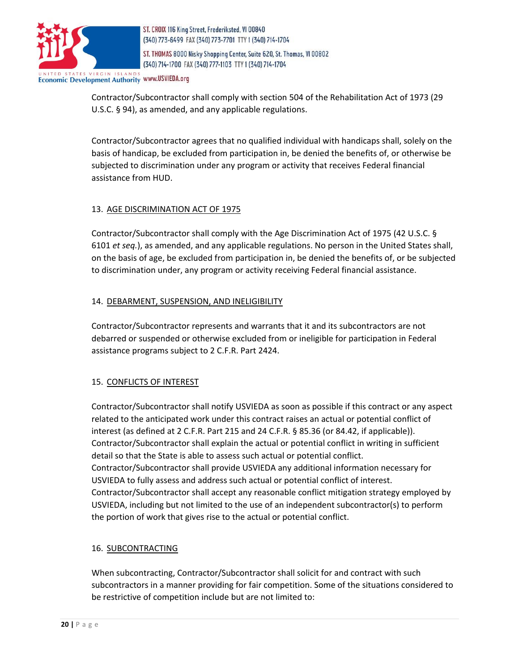

ST. THOMAS 8000 Nisky Shopping Center, Suite 620, St. Thomas, VI 00802 (340) 714-1700 FAX (340) 777-1103 TTY 1 (340) 714-1704

**Economic Development Authority WWW.USVIEDA.org** 

Contractor/Subcontractor shall comply with section 504 of the Rehabilitation Act of 1973 (29 U.S.C. § 94), as amended, and any applicable regulations.

Contractor/Subcontractor agrees that no qualified individual with handicaps shall, solely on the basis of handicap, be excluded from participation in, be denied the benefits of, or otherwise be subjected to discrimination under any program or activity that receives Federal financial assistance from HUD.

# 13. AGE DISCRIMINATION ACT OF 1975

Contractor/Subcontractor shall comply with the Age Discrimination Act of 1975 (42 U.S.C. § 6101 *et seq.*), as amended, and any applicable regulations. No person in the United States shall, on the basis of age, be excluded from participation in, be denied the benefits of, or be subjected to discrimination under, any program or activity receiving Federal financial assistance.

# 14. DEBARMENT, SUSPENSION, AND INELIGIBILITY

Contractor/Subcontractor represents and warrants that it and its subcontractors are not debarred or suspended or otherwise excluded from or ineligible for participation in Federal assistance programs subject to 2 C.F.R. Part 2424.

# 15. CONFLICTS OF INTEREST

Contractor/Subcontractor shall notify USVIEDA as soon as possible if this contract or any aspect related to the anticipated work under this contract raises an actual or potential conflict of interest (as defined at 2 C.F.R. Part 215 and 24 C.F.R. § 85.36 (or 84.42, if applicable)). Contractor/Subcontractor shall explain the actual or potential conflict in writing in sufficient detail so that the State is able to assess such actual or potential conflict. Contractor/Subcontractor shall provide USVIEDA any additional information necessary for USVIEDA to fully assess and address such actual or potential conflict of interest. Contractor/Subcontractor shall accept any reasonable conflict mitigation strategy employed by USVIEDA, including but not limited to the use of an independent subcontractor(s) to perform the portion of work that gives rise to the actual or potential conflict.

#### 16. SUBCONTRACTING

When subcontracting, Contractor/Subcontractor shall solicit for and contract with such subcontractors in a manner providing for fair competition. Some of the situations considered to be restrictive of competition include but are not limited to: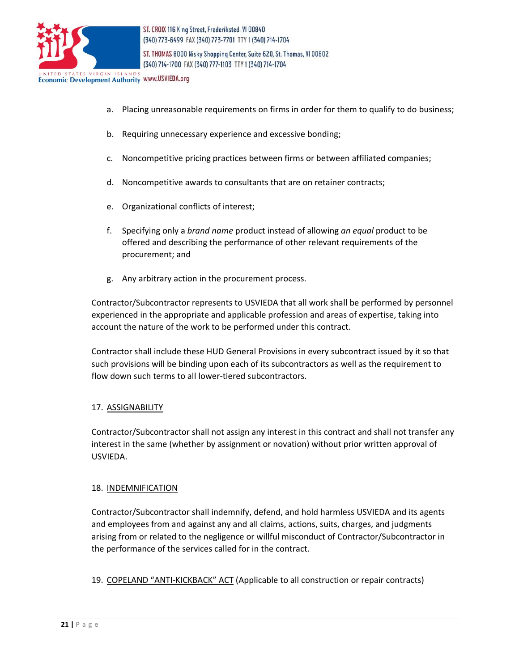

ST. THOMAS 8000 Nisky Shopping Center, Suite 620, St. Thomas, VI 00802 (340) 714-1700 FAX (340) 777-1103 TTY 1 (340) 714-1704

**Economic Development Authority WWW.USVIEDA.org** 

- a. Placing unreasonable requirements on firms in order for them to qualify to do business;
- b. Requiring unnecessary experience and excessive bonding;
- c. Noncompetitive pricing practices between firms or between affiliated companies;
- d. Noncompetitive awards to consultants that are on retainer contracts;
- e. Organizational conflicts of interest;
- f. Specifying only a *brand name* product instead of allowing *an equal* product to be offered and describing the performance of other relevant requirements of the procurement; and
- g. Any arbitrary action in the procurement process.

Contractor/Subcontractor represents to USVIEDA that all work shall be performed by personnel experienced in the appropriate and applicable profession and areas of expertise, taking into account the nature of the work to be performed under this contract.

Contractor shall include these HUD General Provisions in every subcontract issued by it so that such provisions will be binding upon each of its subcontractors as well as the requirement to flow down such terms to all lower-tiered subcontractors.

#### 17. ASSIGNABILITY

Contractor/Subcontractor shall not assign any interest in this contract and shall not transfer any interest in the same (whether by assignment or novation) without prior written approval of USVIEDA.

#### 18. INDEMNIFICATION

Contractor/Subcontractor shall indemnify, defend, and hold harmless USVIEDA and its agents and employees from and against any and all claims, actions, suits, charges, and judgments arising from or related to the negligence or willful misconduct of Contractor/Subcontractor in the performance of the services called for in the contract.

#### 19. COPELAND "ANTI-KICKBACK" ACT (Applicable to all construction or repair contracts)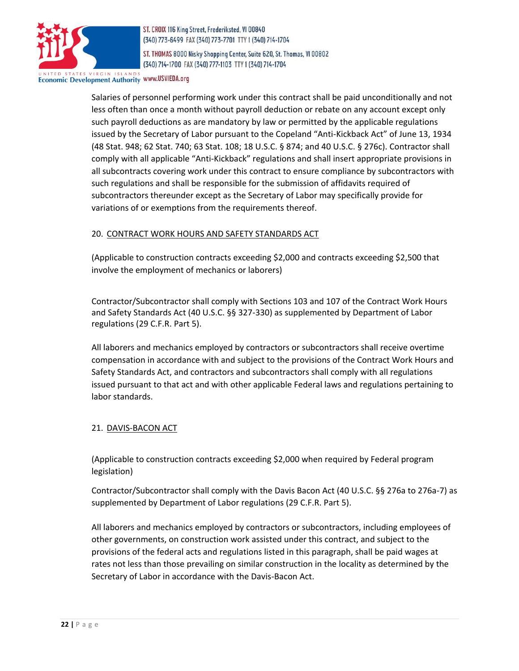

ST. THOMAS 8000 Nisky Shopping Center, Suite 620, St. Thomas, VI 00802 (340) 714-1700 FAX (340) 777-1103 TTY 1 (340) 714-1704

# **Economic Development Authority WWW.USVIEDA.org**

Salaries of personnel performing work under this contract shall be paid unconditionally and not less often than once a month without payroll deduction or rebate on any account except only such payroll deductions as are mandatory by law or permitted by the applicable regulations issued by the Secretary of Labor pursuant to the Copeland "Anti-Kickback Act" of June 13, 1934 (48 Stat. 948; 62 Stat. 740; 63 Stat. 108; 18 U.S.C. § 874; and 40 U.S.C. § 276c). Contractor shall comply with all applicable "Anti-Kickback" regulations and shall insert appropriate provisions in all subcontracts covering work under this contract to ensure compliance by subcontractors with such regulations and shall be responsible for the submission of affidavits required of subcontractors thereunder except as the Secretary of Labor may specifically provide for variations of or exemptions from the requirements thereof.

#### 20. CONTRACT WORK HOURS AND SAFETY STANDARDS ACT

(Applicable to construction contracts exceeding \$2,000 and contracts exceeding \$2,500 that involve the employment of mechanics or laborers)

Contractor/Subcontractor shall comply with Sections 103 and 107 of the Contract Work Hours and Safety Standards Act (40 U.S.C. §§ 327-330) as supplemented by Department of Labor regulations (29 C.F.R. Part 5).

All laborers and mechanics employed by contractors or subcontractors shall receive overtime compensation in accordance with and subject to the provisions of the Contract Work Hours and Safety Standards Act, and contractors and subcontractors shall comply with all regulations issued pursuant to that act and with other applicable Federal laws and regulations pertaining to labor standards.

#### 21. DAVIS-BACON ACT

(Applicable to construction contracts exceeding \$2,000 when required by Federal program legislation)

Contractor/Subcontractor shall comply with the Davis Bacon Act (40 U.S.C. §§ 276a to 276a-7) as supplemented by Department of Labor regulations (29 C.F.R. Part 5).

All laborers and mechanics employed by contractors or subcontractors, including employees of other governments, on construction work assisted under this contract, and subject to the provisions of the federal acts and regulations listed in this paragraph, shall be paid wages at rates not less than those prevailing on similar construction in the locality as determined by the Secretary of Labor in accordance with the Davis-Bacon Act.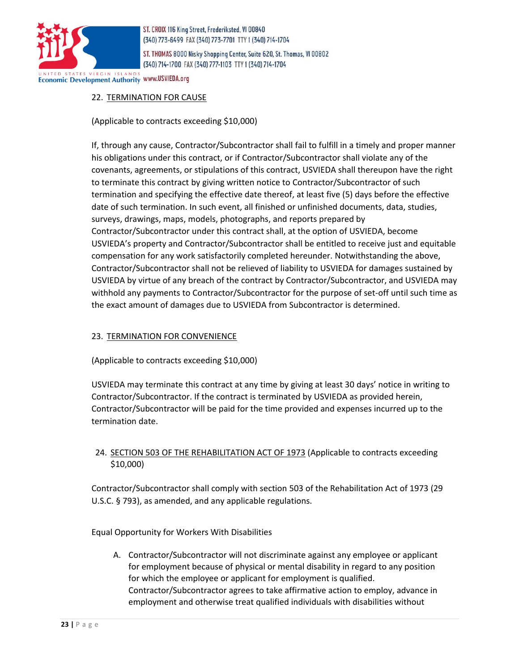

ST. THOMAS 8000 Nisky Shopping Center, Suite 620, St. Thomas, VI 00802 (340) 714-1700 FAX (340) 777-1103 TTY 1 (340) 714-1704

**Economic Development Authority WWW.USVIEDA.org** 

# 22. TERMINATION FOR CAUSE

(Applicable to contracts exceeding \$10,000)

If, through any cause, Contractor/Subcontractor shall fail to fulfill in a timely and proper manner his obligations under this contract, or if Contractor/Subcontractor shall violate any of the covenants, agreements, or stipulations of this contract, USVIEDA shall thereupon have the right to terminate this contract by giving written notice to Contractor/Subcontractor of such termination and specifying the effective date thereof, at least five (5) days before the effective date of such termination. In such event, all finished or unfinished documents, data, studies, surveys, drawings, maps, models, photographs, and reports prepared by Contractor/Subcontractor under this contract shall, at the option of USVIEDA, become USVIEDA's property and Contractor/Subcontractor shall be entitled to receive just and equitable compensation for any work satisfactorily completed hereunder. Notwithstanding the above, Contractor/Subcontractor shall not be relieved of liability to USVIEDA for damages sustained by USVIEDA by virtue of any breach of the contract by Contractor/Subcontractor, and USVIEDA may withhold any payments to Contractor/Subcontractor for the purpose of set-off until such time as the exact amount of damages due to USVIEDA from Subcontractor is determined.

#### 23. TERMINATION FOR CONVENIENCE

(Applicable to contracts exceeding \$10,000)

USVIEDA may terminate this contract at any time by giving at least 30 days' notice in writing to Contractor/Subcontractor. If the contract is terminated by USVIEDA as provided herein, Contractor/Subcontractor will be paid for the time provided and expenses incurred up to the termination date.

# 24. SECTION 503 OF THE REHABILITATION ACT OF 1973 (Applicable to contracts exceeding \$10,000)

Contractor/Subcontractor shall comply with section 503 of the Rehabilitation Act of 1973 (29 U.S.C. § 793), as amended, and any applicable regulations.

Equal Opportunity for Workers With Disabilities

A. Contractor/Subcontractor will not discriminate against any employee or applicant for employment because of physical or mental disability in regard to any position for which the employee or applicant for employment is qualified. Contractor/Subcontractor agrees to take affirmative action to employ, advance in employment and otherwise treat qualified individuals with disabilities without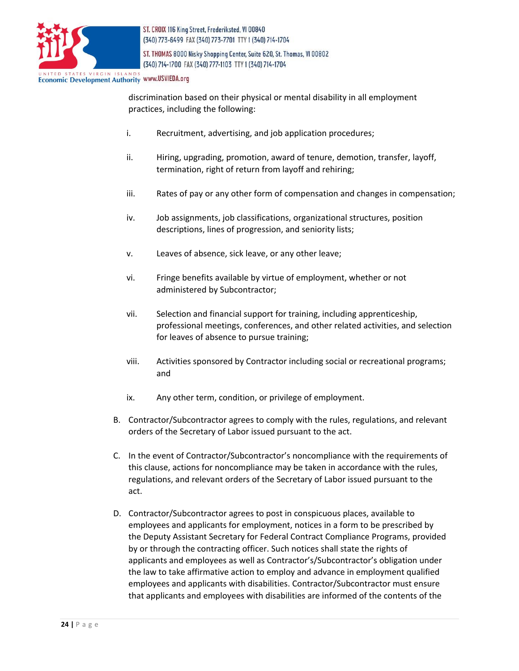

ST. THOMAS 8000 Nisky Shopping Center, Suite 620, St. Thomas, VI 00802 (340) 714-1700 FAX (340) 777-1103 TTY 1 (340) 714-1704

**Economic Development Authority WWW.USVIEDA.org** 

discrimination based on their physical or mental disability in all employment practices, including the following:

- i. Recruitment, advertising, and job application procedures;
- ii. Hiring, upgrading, promotion, award of tenure, demotion, transfer, layoff, termination, right of return from layoff and rehiring;
- iii. Rates of pay or any other form of compensation and changes in compensation;
- iv. Job assignments, job classifications, organizational structures, position descriptions, lines of progression, and seniority lists;
- v. Leaves of absence, sick leave, or any other leave;
- vi. Fringe benefits available by virtue of employment, whether or not administered by Subcontractor;
- vii. Selection and financial support for training, including apprenticeship, professional meetings, conferences, and other related activities, and selection for leaves of absence to pursue training;
- viii. Activities sponsored by Contractor including social or recreational programs; and
- ix. Any other term, condition, or privilege of employment.
- B. Contractor/Subcontractor agrees to comply with the rules, regulations, and relevant orders of the Secretary of Labor issued pursuant to the act.
- C. In the event of Contractor/Subcontractor's noncompliance with the requirements of this clause, actions for noncompliance may be taken in accordance with the rules, regulations, and relevant orders of the Secretary of Labor issued pursuant to the act.
- D. Contractor/Subcontractor agrees to post in conspicuous places, available to employees and applicants for employment, notices in a form to be prescribed by the Deputy Assistant Secretary for Federal Contract Compliance Programs, provided by or through the contracting officer. Such notices shall state the rights of applicants and employees as well as Contractor's/Subcontractor's obligation under the law to take affirmative action to employ and advance in employment qualified employees and applicants with disabilities. Contractor/Subcontractor must ensure that applicants and employees with disabilities are informed of the contents of the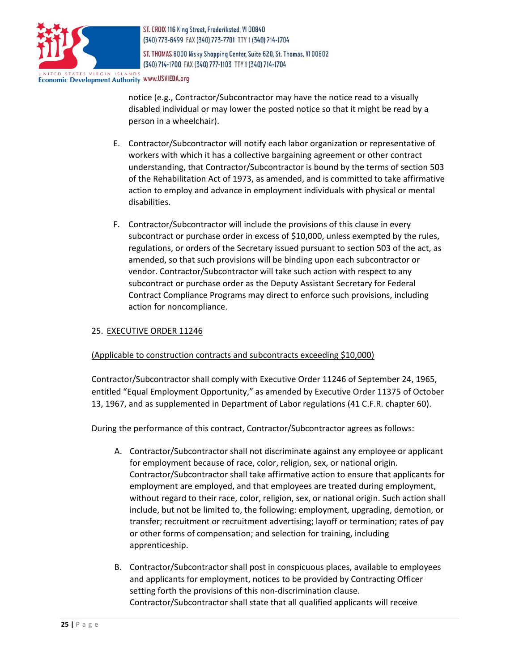

ST. THOMAS 8000 Nisky Shopping Center, Suite 620, St. Thomas, VI 00802 (340) 714-1700 FAX (340) 777-1103 TTY 1 (340) 714-1704

**Economic Development Authority WWW.USVIEDA.org** 

notice (e.g., Contractor/Subcontractor may have the notice read to a visually disabled individual or may lower the posted notice so that it might be read by a person in a wheelchair).

- E. Contractor/Subcontractor will notify each labor organization or representative of workers with which it has a collective bargaining agreement or other contract understanding, that Contractor/Subcontractor is bound by the terms of section 503 of the Rehabilitation Act of 1973, as amended, and is committed to take affirmative action to employ and advance in employment individuals with physical or mental disabilities.
- F. Contractor/Subcontractor will include the provisions of this clause in every subcontract or purchase order in excess of \$10,000, unless exempted by the rules, regulations, or orders of the Secretary issued pursuant to section 503 of the act, as amended, so that such provisions will be binding upon each subcontractor or vendor. Contractor/Subcontractor will take such action with respect to any subcontract or purchase order as the Deputy Assistant Secretary for Federal Contract Compliance Programs may direct to enforce such provisions, including action for noncompliance.

#### 25. EXECUTIVE ORDER 11246

#### (Applicable to construction contracts and subcontracts exceeding \$10,000)

Contractor/Subcontractor shall comply with Executive Order 11246 of September 24, 1965, entitled "Equal Employment Opportunity," as amended by Executive Order 11375 of October 13, 1967, and as supplemented in Department of Labor regulations (41 C.F.R. chapter 60).

During the performance of this contract, Contractor/Subcontractor agrees as follows:

- A. Contractor/Subcontractor shall not discriminate against any employee or applicant for employment because of race, color, religion, sex, or national origin. Contractor/Subcontractor shall take affirmative action to ensure that applicants for employment are employed, and that employees are treated during employment, without regard to their race, color, religion, sex, or national origin. Such action shall include, but not be limited to, the following: employment, upgrading, demotion, or transfer; recruitment or recruitment advertising; layoff or termination; rates of pay or other forms of compensation; and selection for training, including apprenticeship.
- B. Contractor/Subcontractor shall post in conspicuous places, available to employees and applicants for employment, notices to be provided by Contracting Officer setting forth the provisions of this non-discrimination clause. Contractor/Subcontractor shall state that all qualified applicants will receive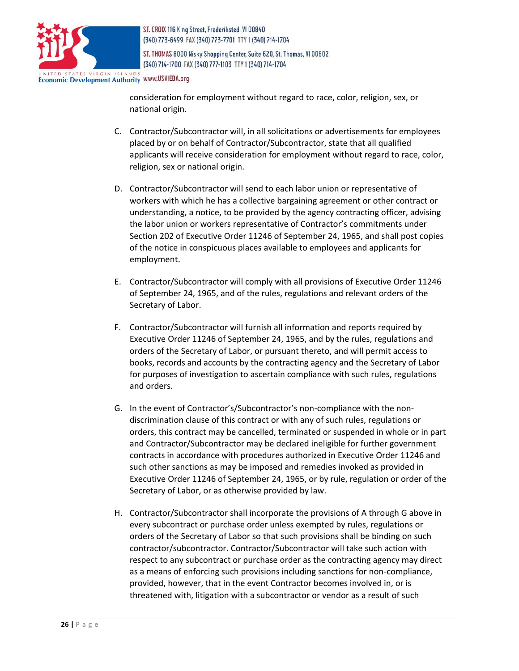

ST. THOMAS 8000 Nisky Shopping Center, Suite 620, St. Thomas, VI 00802 (340) 714-1700 FAX (340) 777-1103 TTY 1 (340) 714-1704

**Economic Development Authority WWW.USVIEDA.org** 

consideration for employment without regard to race, color, religion, sex, or national origin.

- C. Contractor/Subcontractor will, in all solicitations or advertisements for employees placed by or on behalf of Contractor/Subcontractor, state that all qualified applicants will receive consideration for employment without regard to race, color, religion, sex or national origin.
- D. Contractor/Subcontractor will send to each labor union or representative of workers with which he has a collective bargaining agreement or other contract or understanding, a notice, to be provided by the agency contracting officer, advising the labor union or workers representative of Contractor's commitments under Section 202 of Executive Order 11246 of September 24, 1965, and shall post copies of the notice in conspicuous places available to employees and applicants for employment.
- E. Contractor/Subcontractor will comply with all provisions of Executive Order 11246 of September 24, 1965, and of the rules, regulations and relevant orders of the Secretary of Labor.
- F. Contractor/Subcontractor will furnish all information and reports required by Executive Order 11246 of September 24, 1965, and by the rules, regulations and orders of the Secretary of Labor, or pursuant thereto, and will permit access to books, records and accounts by the contracting agency and the Secretary of Labor for purposes of investigation to ascertain compliance with such rules, regulations and orders.
- G. In the event of Contractor's/Subcontractor's non-compliance with the nondiscrimination clause of this contract or with any of such rules, regulations or orders, this contract may be cancelled, terminated or suspended in whole or in part and Contractor/Subcontractor may be declared ineligible for further government contracts in accordance with procedures authorized in Executive Order 11246 and such other sanctions as may be imposed and remedies invoked as provided in Executive Order 11246 of September 24, 1965, or by rule, regulation or order of the Secretary of Labor, or as otherwise provided by law.
- H. Contractor/Subcontractor shall incorporate the provisions of A through G above in every subcontract or purchase order unless exempted by rules, regulations or orders of the Secretary of Labor so that such provisions shall be binding on such contractor/subcontractor. Contractor/Subcontractor will take such action with respect to any subcontract or purchase order as the contracting agency may direct as a means of enforcing such provisions including sanctions for non-compliance, provided, however, that in the event Contractor becomes involved in, or is threatened with, litigation with a subcontractor or vendor as a result of such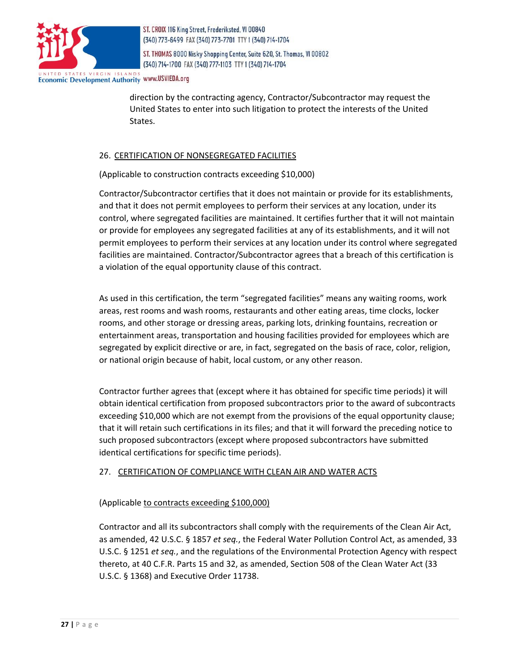

ST. THOMAS 8000 Nisky Shopping Center, Suite 620, St. Thomas, VI 00802 (340) 714-1700 FAX (340) 777-1103 TTY 1 (340) 714-1704

**Economic Development Authority WWW.USVIEDA.org** 

direction by the contracting agency, Contractor/Subcontractor may request the United States to enter into such litigation to protect the interests of the United States.

#### 26. CERTIFICATION OF NONSEGREGATED FACILITIES

(Applicable to construction contracts exceeding \$10,000)

Contractor/Subcontractor certifies that it does not maintain or provide for its establishments, and that it does not permit employees to perform their services at any location, under its control, where segregated facilities are maintained. It certifies further that it will not maintain or provide for employees any segregated facilities at any of its establishments, and it will not permit employees to perform their services at any location under its control where segregated facilities are maintained. Contractor/Subcontractor agrees that a breach of this certification is a violation of the equal opportunity clause of this contract.

As used in this certification, the term "segregated facilities" means any waiting rooms, work areas, rest rooms and wash rooms, restaurants and other eating areas, time clocks, locker rooms, and other storage or dressing areas, parking lots, drinking fountains, recreation or entertainment areas, transportation and housing facilities provided for employees which are segregated by explicit directive or are, in fact, segregated on the basis of race, color, religion, or national origin because of habit, local custom, or any other reason.

Contractor further agrees that (except where it has obtained for specific time periods) it will obtain identical certification from proposed subcontractors prior to the award of subcontracts exceeding \$10,000 which are not exempt from the provisions of the equal opportunity clause; that it will retain such certifications in its files; and that it will forward the preceding notice to such proposed subcontractors (except where proposed subcontractors have submitted identical certifications for specific time periods).

# 27. CERTIFICATION OF COMPLIANCE WITH CLEAN AIR AND WATER ACTS

#### (Applicable to contracts exceeding \$100,000)

Contractor and all its subcontractors shall comply with the requirements of the Clean Air Act, as amended, 42 U.S.C. § 1857 *et seq.*, the Federal Water Pollution Control Act, as amended, 33 U.S.C. § 1251 *et seq.*, and the regulations of the Environmental Protection Agency with respect thereto, at 40 C.F.R. Parts 15 and 32, as amended, Section 508 of the Clean Water Act (33 U.S.C. § 1368) and Executive Order 11738.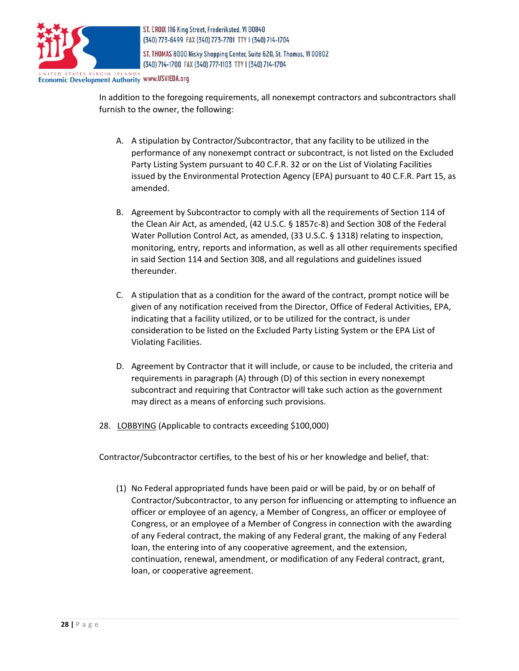

ST. THOMAS 8000 Nisky Shopping Center, Suite 620, St. Thomas, VI 00802 (340) 714-1700 FAX (340) 777-1103 TTY 1 (340) 714-1704

Economic Development Authority www.USVIEDA.org

In addition to the foregoing requirements, all nonexempt contractors and subcontractors shall furnish to the owner, the following:

- A. A stipulation by Contractor/Subcontractor, that any facility to be utilized in the performance of any nonexempt contract or subcontract, is not listed on the Excluded Party Listing System pursuant to 40 C.F.R. 32 or on the List of Violating Facilities issued by the Environmental Protection Agency (EPA) pursuant to 40 C.F.R. Part 15, as amended.
- B. Agreement by Subcontractor to comply with all the requirements of Section 114 of the Clean Air Act, as amended, (42 U.S.C. § 1857c-8) and Section 308 of the Federal Water Pollution Control Act, as amended, (33 U.S.C. § 1318) relating to inspection, monitoring, entry, reports and information, as well as all other requirements specified in said Section 114 and Section 308, and all regulations and guidelines issued thereunder.
- C. A stipulation that as a condition for the award of the contract, prompt notice will be given of any notification received from the Director, Office of Federal Activities, EPA, indicating that a facility utilized, or to be utilized for the contract, is under consideration to be listed on the Excluded Party Listing System or the EPA List of Violating Facilities.
- D. Agreement by Contractor that it will include, or cause to be included, the criteria and requirements in paragraph (A) through (D) of this section in every nonexempt subcontract and requiring that Contractor will take such action as the government may direct as a means of enforcing such provisions.
- 28. LOBBYING (Applicable to contracts exceeding \$100,000)

Contractor/Subcontractor certifies, to the best of his or her knowledge and belief, that:

(1) No Federal appropriated funds have been paid or will be paid, by or on behalf of Contractor/Subcontractor, to any person for influencing or attempting to influence an officer or employee of an agency, a Member of Congress, an officer or employee of Congress, or an employee of a Member of Congress in connection with the awarding of any Federal contract, the making of any Federal grant, the making of any Federal loan, the entering into of any cooperative agreement, and the extension, continuation, renewal, amendment, or modification of any Federal contract, grant, loan, or cooperative agreement.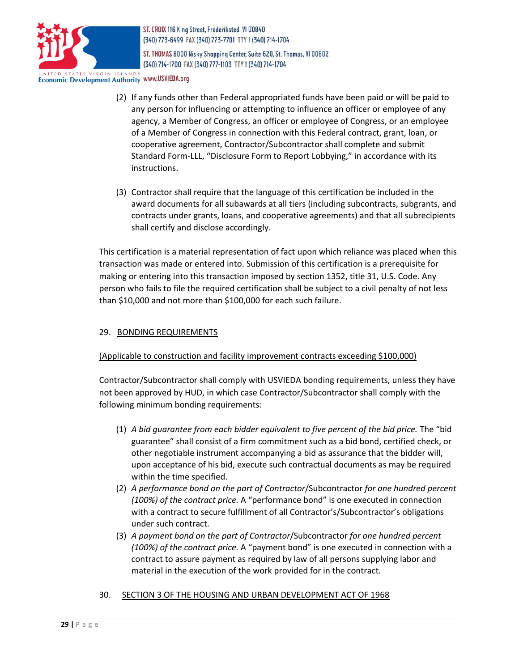

ST. THOMAS 8000 Nisky Shopping Center, Suite 620, St. Thomas, VI 00802 (340) 714-1700 FAX (340) 777-1103 TTY 1 (340) 714-1704

**Economic Development Authority WWW.USVIEDA.org** 

- (2) If any funds other than Federal appropriated funds have been paid or will be paid to any person for influencing or attempting to influence an officer or employee of any agency, a Member of Congress, an officer or employee of Congress, or an employee of a Member of Congress in connection with this Federal contract, grant, loan, or cooperative agreement, Contractor/Subcontractor shall complete and submit Standard Form-LLL, "Disclosure Form to Report Lobbying," in accordance with its instructions.
- (3) Contractor shall require that the language of this certification be included in the award documents for all subawards at all tiers (including subcontracts, subgrants, and contracts under grants, loans, and cooperative agreements) and that all subrecipients shall certify and disclose accordingly.

This certification is a material representation of fact upon which reliance was placed when this transaction was made or entered into. Submission of this certification is a prerequisite for making or entering into this transaction imposed by section 1352, title 31, U.S. Code. Any person who fails to file the required certification shall be subject to a civil penalty of not less than \$10,000 and not more than \$100,000 for each such failure.

# 29. BONDING REQUIREMENTS

# (Applicable to construction and facility improvement contracts exceeding \$100,000)

Contractor/Subcontractor shall comply with USVIEDA bonding requirements, unless they have not been approved by HUD, in which case Contractor/Subcontractor shall comply with the following minimum bonding requirements:

- (1) *A bid guarantee from each bidder equivalent to five percent of the bid price.* The "bid guarantee" shall consist of a firm commitment such as a bid bond, certified check, or other negotiable instrument accompanying a bid as assurance that the bidder will, upon acceptance of his bid, execute such contractual documents as may be required within the time specified.
- (2) *A performance bond on the part of Contractor*/Subcontractor *for one hundred percent (100%) of the contract price.* A "performance bond" is one executed in connection with a contract to secure fulfillment of all Contractor's/Subcontractor's obligations under such contract.
- (3) *A payment bond on the part of Contractor*/Subcontractor *for one hundred percent (100%) of the contract price.* A "payment bond" is one executed in connection with a contract to assure payment as required by law of all persons supplying labor and material in the execution of the work provided for in the contract.
- 30. SECTION 3 OF THE HOUSING AND URBAN DEVELOPMENT ACT OF 1968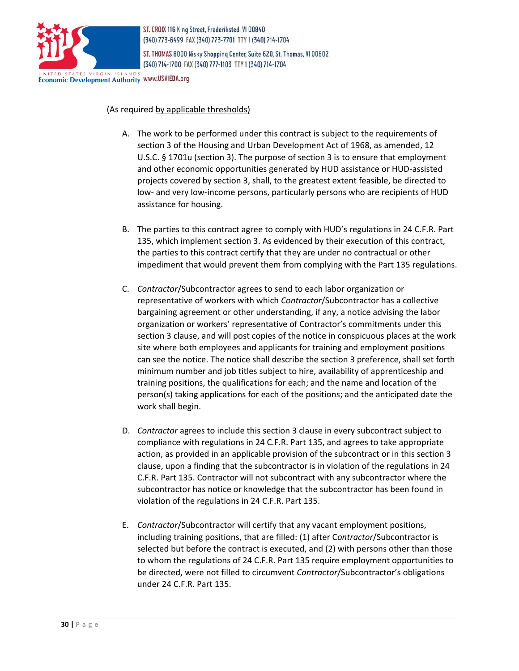

ST. THOMAS 8000 Nisky Shopping Center, Suite 620, St. Thomas, VI 00802 (340) 714-1700 FAX (340) 777-1103 TTY 1 (340) 714-1704

**Economic Development Authority WWW.USVIEDA.org** 

#### (As required by applicable thresholds)

- A. The work to be performed under this contract is subject to the requirements of section 3 of the Housing and Urban Development Act of 1968, as amended, 12 U.S.C. § 1701u (section 3). The purpose of section 3 is to ensure that employment and other economic opportunities generated by HUD assistance or HUD-assisted projects covered by section 3, shall, to the greatest extent feasible, be directed to low- and very low-income persons, particularly persons who are recipients of HUD assistance for housing.
- B. The parties to this contract agree to comply with HUD's regulations in 24 C.F.R. Part 135, which implement section 3. As evidenced by their execution of this contract, the parties to this contract certify that they are under no contractual or other impediment that would prevent them from complying with the Part 135 regulations.
- C. *Contractor*/Subcontractor agrees to send to each labor organization or representative of workers with which *Contractor*/Subcontractor has a collective bargaining agreement or other understanding, if any, a notice advising the labor organization or workers' representative of Contractor's commitments under this section 3 clause, and will post copies of the notice in conspicuous places at the work site where both employees and applicants for training and employment positions can see the notice. The notice shall describe the section 3 preference, shall set forth minimum number and job titles subject to hire, availability of apprenticeship and training positions, the qualifications for each; and the name and location of the person(s) taking applications for each of the positions; and the anticipated date the work shall begin.
- D. *Contractor* agrees to include this section 3 clause in every subcontract subject to compliance with regulations in 24 C.F.R. Part 135, and agrees to take appropriate action, as provided in an applicable provision of the subcontract or in this section 3 clause, upon a finding that the subcontractor is in violation of the regulations in 24 C.F.R. Part 135. Contractor will not subcontract with any subcontractor where the subcontractor has notice or knowledge that the subcontractor has been found in violation of the regulations in 24 C.F.R. Part 135.
- E. *Contractor*/Subcontractor will certify that any vacant employment positions, including training positions, that are filled: (1) after C*ontractor*/Subcontractor is selected but before the contract is executed, and (2) with persons other than those to whom the regulations of 24 C.F.R. Part 135 require employment opportunities to be directed, were not filled to circumvent *Contractor*/Subcontractor's obligations under 24 C.F.R. Part 135.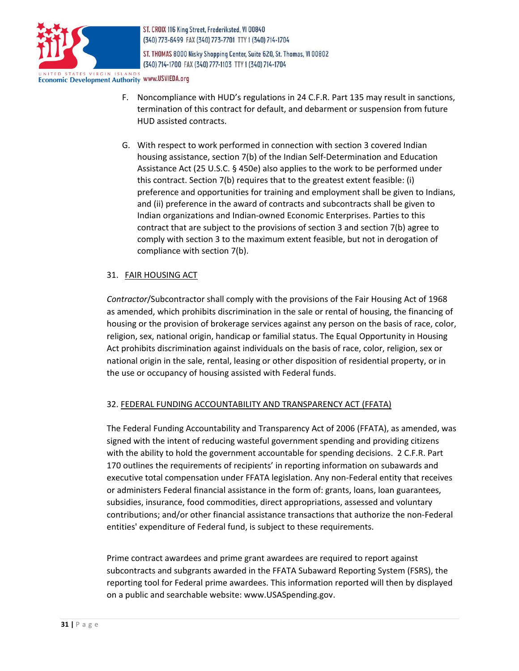

ST. THOMAS 8000 Nisky Shopping Center, Suite 620, St. Thomas, VI 00802 (340) 714-1700 FAX (340) 777-1103 TTY 1 (340) 714-1704

**Economic Development Authority WWW.USVIEDA.org** 

- F. Noncompliance with HUD's regulations in 24 C.F.R. Part 135 may result in sanctions, termination of this contract for default, and debarment or suspension from future HUD assisted contracts.
- G. With respect to work performed in connection with section 3 covered Indian housing assistance, section 7(b) of the Indian Self-Determination and Education Assistance Act (25 U.S.C. § 450e) also applies to the work to be performed under this contract. Section 7(b) requires that to the greatest extent feasible: (i) preference and opportunities for training and employment shall be given to Indians, and (ii) preference in the award of contracts and subcontracts shall be given to Indian organizations and Indian-owned Economic Enterprises. Parties to this contract that are subject to the provisions of section 3 and section 7(b) agree to comply with section 3 to the maximum extent feasible, but not in derogation of compliance with section 7(b).

# 31. FAIR HOUSING ACT

*Contractor*/Subcontractor shall comply with the provisions of the Fair Housing Act of 1968 as amended, which prohibits discrimination in the sale or rental of housing, the financing of housing or the provision of brokerage services against any person on the basis of race, color, religion, sex, national origin, handicap or familial status. The Equal Opportunity in Housing Act prohibits discrimination against individuals on the basis of race, color, religion, sex or national origin in the sale, rental, leasing or other disposition of residential property, or in the use or occupancy of housing assisted with Federal funds.

# 32. FEDERAL FUNDING ACCOUNTABILITY AND TRANSPARENCY ACT (FFATA)

The Federal Funding Accountability and Transparency Act of 2006 (FFATA), as amended, was signed with the intent of reducing wasteful government spending and providing citizens with the ability to hold the government accountable for spending decisions. 2 C.F.R. Part 170 outlines the requirements of recipients' in reporting information on subawards and executive total compensation under FFATA legislation. Any non-Federal entity that receives or administers Federal financial assistance in the form of: grants, loans, loan guarantees, subsidies, insurance, food commodities, direct appropriations, assessed and voluntary contributions; and/or other financial assistance transactions that authorize the non-Federal entities' expenditure of Federal fund, is subject to these requirements.

Prime contract awardees and prime grant awardees are required to report against subcontracts and subgrants awarded in the FFATA Subaward Reporting System (FSRS), the reporting tool for Federal prime awardees. This information reported will then by displayed on a public and searchable website: [www.USASpending.gov.](http://www.usaspending.gov/)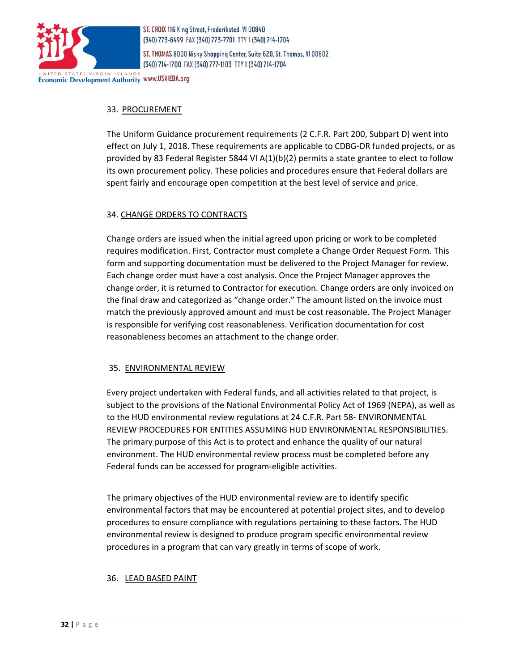

ST. THOMAS 8000 Nisky Shopping Center, Suite 620, St. Thomas, VI 00802 (340) 714-1700 FAX (340) 777-1103 TTY 1 (340) 714-1704

**Economic Development Authority WWW.USVIEDA.org** 

# 33. PROCUREMENT

The Uniform Guidance procurement requirements (2 C.F.R. Part 200, Subpart D) went into effect on July 1, 2018. These requirements are applicable to CDBG-DR funded projects, or as provided by 83 Federal Register 5844 VI A(1)(b)(2) permits a state grantee to elect to follow its own procurement policy. These policies and procedures ensure that Federal dollars are spent fairly and encourage open competition at the best level of service and price.

# 34. CHANGE ORDERS TO CONTRACTS

Change orders are issued when the initial agreed upon pricing or work to be completed requires modification. First, Contractor must complete a Change Order Request Form. This form and supporting documentation must be delivered to the Project Manager for review. Each change order must have a cost analysis. Once the Project Manager approves the change order, it is returned to Contractor for execution. Change orders are only invoiced on the final draw and categorized as "change order." The amount listed on the invoice must match the previously approved amount and must be cost reasonable. The Project Manager is responsible for verifying cost reasonableness. Verification documentation for cost reasonableness becomes an attachment to the change order.

#### 35. ENVIRONMENTAL REVIEW

Every project undertaken with Federal funds, and all activities related to that project, is subject to the provisions of the National Environmental Policy Act of 1969 (NEPA), as well as to the HUD environmental review regulations at 24 C.F.R. Part 58- ENVIRONMENTAL REVIEW PROCEDURES FOR ENTITIES ASSUMING HUD ENVIRONMENTAL RESPONSIBILITIES. The primary purpose of this Act is to protect and enhance the quality of our natural environment. The HUD environmental review process must be completed before any Federal funds can be accessed for program‐eligible activities.

The primary objectives of the HUD environmental review are to identify specific environmental factors that may be encountered at potential project sites, and to develop procedures to ensure compliance with regulations pertaining to these factors. The HUD environmental review is designed to produce program specific environmental review procedures in a program that can vary greatly in terms of scope of work.

#### 36. LEAD BASED PAINT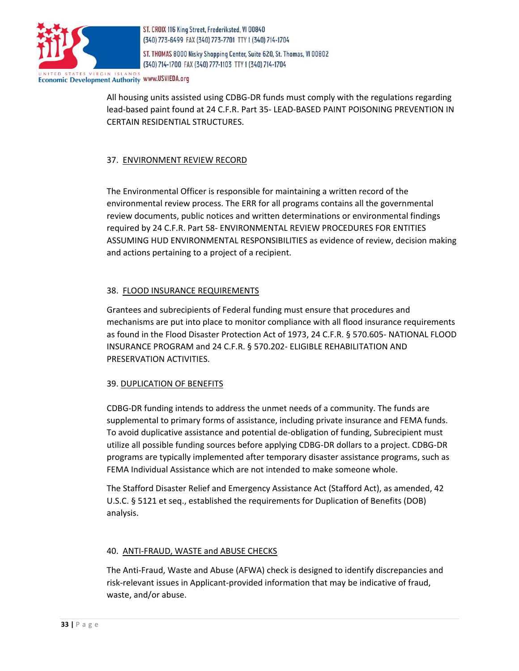

ST. THOMAS 8000 Nisky Shopping Center, Suite 620, St. Thomas, VI 00802 (340) 714-1700 FAX (340) 777-1103 TTY 1 (340) 714-1704

**Economic Development Authority WWW.USVIEDA.org** 

All housing units assisted using CDBG-DR funds must comply with the regulations regarding lead-based paint found at 24 C.F.R. Part 35- LEAD-BASED PAINT POISONING PREVENTION IN CERTAIN RESIDENTIAL STRUCTURES.

# 37. ENVIRONMENT REVIEW RECORD

The Environmental Officer is responsible for maintaining a written record of the environmental review process. The ERR for all programs contains all the governmental review documents, public notices and written determinations or environmental findings required by 24 C.F.R. Part 58- ENVIRONMENTAL REVIEW PROCEDURES FOR ENTITIES ASSUMING HUD ENVIRONMENTAL RESPONSIBILITIES as evidence of review, decision making and actions pertaining to a project of a recipient.

# 38. FLOOD INSURANCE REQUIREMENTS

Grantees and subrecipients of Federal funding must ensure that procedures and mechanisms are put into place to monitor compliance with all flood insurance requirements as found in the Flood Disaster Protection Act of 1973, 24 C.F.R. § 570.605- NATIONAL FLOOD INSURANCE PROGRAM and 24 C.F.R. § 570.202- ELIGIBLE REHABILITATION AND PRESERVATION ACTIVITIES.

#### 39. DUPLICATION OF BENEFITS

CDBG-DR funding intends to address the unmet needs of a community. The funds are supplemental to primary forms of assistance, including private insurance and FEMA funds. To avoid duplicative assistance and potential de-obligation of funding, Subrecipient must utilize all possible funding sources before applying CDBG-DR dollars to a project. CDBG-DR programs are typically implemented after temporary disaster assistance programs, such as FEMA Individual Assistance which are not intended to make someone whole.

The Stafford Disaster Relief and Emergency Assistance Act (Stafford Act), as amended, 42 U.S.C. § 5121 et seq., established the requirements for Duplication of Benefits (DOB) analysis.

#### 40. ANTI-FRAUD, WASTE and ABUSE CHECKS

The Anti-Fraud, Waste and Abuse (AFWA) check is designed to identify discrepancies and risk-relevant issues in Applicant-provided information that may be indicative of fraud, waste, and/or abuse.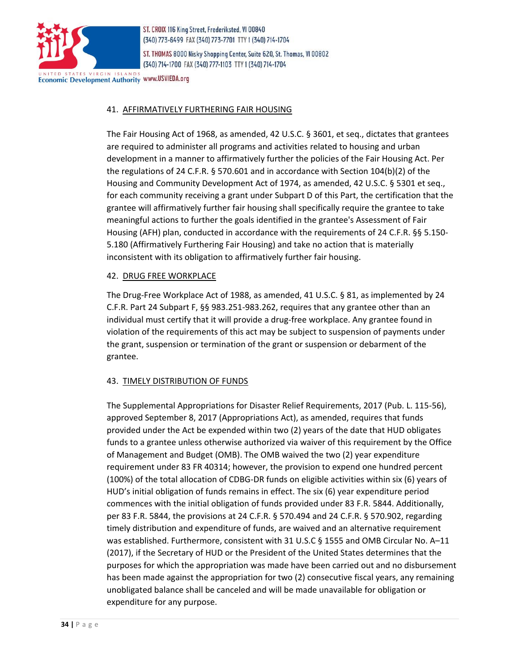

ST. THOMAS 8000 Nisky Shopping Center, Suite 620, St. Thomas, VI 00802 (340) 714-1700 FAX (340) 777-1103 TTY 1 (340) 714-1704

**Economic Development Authority WWW.USVIEDA.org** 

# 41. AFFIRMATIVELY FURTHERING FAIR HOUSING

The Fair Housing Act of 1968, as amended, 42 U.S.C. § 3601, et seq., dictates that grantees are required to administer all programs and activities related to housing and urban development in a manner to affirmatively further the policies of the Fair Housing Act. Per the regulations of 24 C.F.R. § 570.601 and in accordance with Section 104(b)(2) of the Housing and Community Development Act of 1974, as amended, 42 U.S.C. § 5301 et seq., for each community receiving a grant under Subpart D of this Part, the certification that the grantee will affirmatively further fair housing shall specifically require the grantee to take meaningful actions to further the goals identified in the grantee's Assessment of Fair Housing (AFH) plan, conducted in accordance with the requirements of 24 C.F.R. §§ 5.150- 5.180 (Affirmatively Furthering Fair Housing) and take no action that is materially inconsistent with its obligation to affirmatively further fair housing.

#### 42. DRUG FREE WORKPLACE

The Drug-Free Workplace Act of 1988, as amended, 41 U.S.C. § 81, as implemented by 24 C.F.R. Part 24 Subpart F, §§ 983.251-983.262, requires that any grantee other than an individual must certify that it will provide a drug-free workplace. Any grantee found in violation of the requirements of this act may be subject to suspension of payments under the grant, suspension or termination of the grant or suspension or debarment of the grantee.

#### 43. TIMELY DISTRIBUTION OF FUNDS

The Supplemental Appropriations for Disaster Relief Requirements, 2017 (Pub. L. 115-56), approved September 8, 2017 (Appropriations Act), as amended, requires that funds provided under the Act be expended within two (2) years of the date that HUD obligates funds to a grantee unless otherwise authorized via waiver of this requirement by the Office of Management and Budget (OMB). The OMB waived the two (2) year expenditure requirement under 83 FR 40314; however, the provision to expend one hundred percent (100%) of the total allocation of CDBG-DR funds on eligible activities within six (6) years of HUD's initial obligation of funds remains in effect. The six (6) year expenditure period commences with the initial obligation of funds provided under 83 F.R. 5844. Additionally, per 83 F.R. 5844, the provisions at 24 C.F.R. § 570.494 and 24 C.F.R. § 570.902, regarding timely distribution and expenditure of funds, are waived and an alternative requirement was established. Furthermore, consistent with 31 U.S.C § 1555 and OMB Circular No. A–11 (2017), if the Secretary of HUD or the President of the United States determines that the purposes for which the appropriation was made have been carried out and no disbursement has been made against the appropriation for two (2) consecutive fiscal years, any remaining unobligated balance shall be canceled and will be made unavailable for obligation or expenditure for any purpose.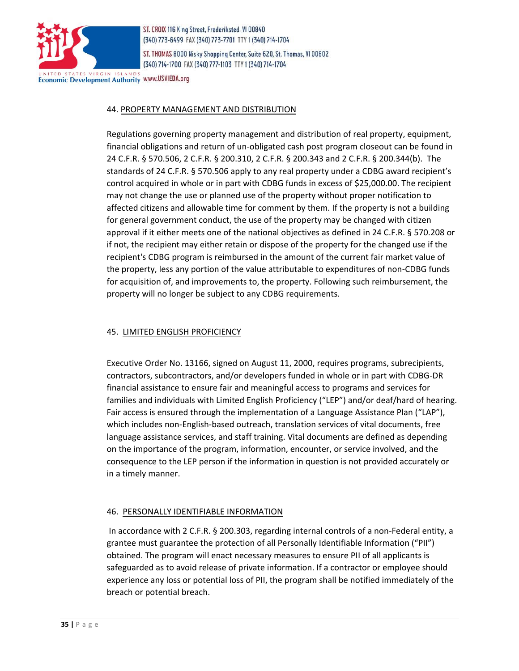

ST. THOMAS 8000 Nisky Shopping Center, Suite 620, St. Thomas, VI 00802 (340) 714-1700 FAX (340) 777-1103 TTY 1 (340) 714-1704

Economic Development Authority www.USVIEDA.org

#### 44. PROPERTY MANAGEMENT AND DISTRIBUTION

Regulations governing property management and distribution of real property, equipment, financial obligations and return of un-obligated cash post program closeout can be found in 24 C.F.R. § 570.506, 2 C.F.R. § 200.310, 2 C.F.R. § 200.343 and 2 C.F.R. § 200.344(b). The standards of 24 C.F.R. § 570.506 apply to any real property under a CDBG award recipient's control acquired in whole or in part with CDBG funds in excess of \$25,000.00. The recipient may not change the use or planned use of the property without proper notification to affected citizens and allowable time for comment by them. If the property is not a building for general government conduct, the use of the property may be changed with citizen approval if it either meets one of the national objectives as defined in 24 C.F.R. § 570.208 or if not, the recipient may either retain or dispose of the property for the changed use if the recipient's CDBG program is reimbursed in the amount of the current fair market value of the property, less any portion of the value attributable to expenditures of non-CDBG funds for acquisition of, and improvements to, the property. Following such reimbursement, the property will no longer be subject to any CDBG requirements.

#### 45. LIMITED ENGLISH PROFICIENCY

Executive Order No. 13166, signed on August 11, 2000, requires programs, subrecipients, contractors, subcontractors, and/or developers funded in whole or in part with CDBG-DR financial assistance to ensure fair and meaningful access to programs and services for families and individuals with Limited English Proficiency ("LEP") and/or deaf/hard of hearing. Fair access is ensured through the implementation of a Language Assistance Plan ("LAP"), which includes non-English-based outreach, translation services of vital documents, free language assistance services, and staff training. Vital documents are defined as depending on the importance of the program, information, encounter, or service involved, and the consequence to the LEP person if the information in question is not provided accurately or in a timely manner.

# 46. PERSONALLY IDENTIFIABLE INFORMATION

In accordance with 2 C.F.R. § 200.303, regarding internal controls of a non-Federal entity, a grantee must guarantee the protection of all Personally Identifiable Information ("PII") obtained. The program will enact necessary measures to ensure PII of all applicants is safeguarded as to avoid release of private information. If a contractor or employee should experience any loss or potential loss of PII, the program shall be notified immediately of the breach or potential breach.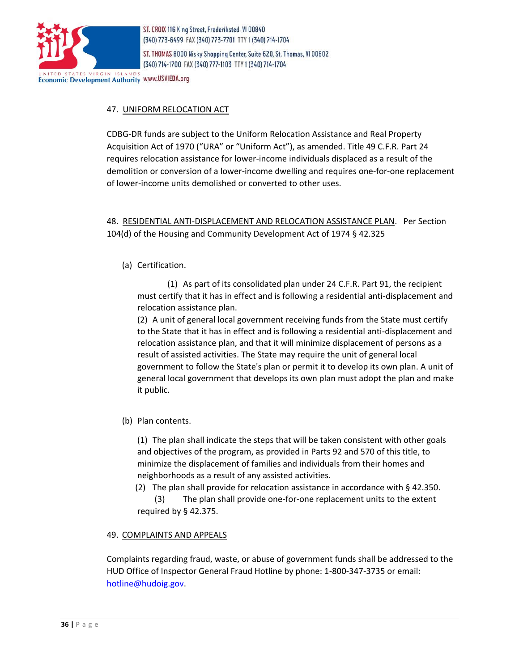

ST. THOMAS 8000 Nisky Shopping Center, Suite 620, St. Thomas, VI 00802 (340) 714-1700 FAX (340) 777-1103 TTY 1 (340) 714-1704

**Economic Development Authority WWW.USVIEDA.org** 

# 47. UNIFORM RELOCATION ACT

CDBG-DR funds are subject to the Uniform Relocation Assistance and Real Property Acquisition Act of 1970 ("URA" or "Uniform Act"), as amended. Title 49 C.F.R. Part 24 requires relocation assistance for lower-income individuals displaced as a result of the demolition or conversion of a lower-income dwelling and requires one-for-one replacement of lower-income units demolished or converted to other uses.

48. RESIDENTIAL ANTI-DISPLACEMENT AND RELOCATION ASSISTANCE PLAN. Per Section 104(d) of the Housing and Community Development Act of 1974 § 42.325

(a) Certification.

(1) As part of its consolidated plan unde[r 24 C.F.R. Part 91,](https://www.law.cornell.edu/cfr/text/24/part-91) the recipient must certify that it has in effect and is following a residential anti-displacement and relocation assistance plan.

(2) A unit of general local government receiving funds from the State must certify to the State that it has in effect and is following a residential anti-displacement and relocation assistance plan, and that it will minimize displacement of persons as a result of assisted activities. The State may require the unit of general local government to follow the State's plan or permit it to develop its own plan. A unit of general local government that develops its own plan must adopt the plan and make it public.

(b) Plan contents.

(1) The plan shall indicate the steps that will be taken consistent with other goals and objectives of the program, as provided in Parts 92 and 570 of this title, to minimize the displacement of families and individuals from their homes and neighborhoods as a result of any assisted activities.

(2) The plan shall provide for relocation assistance in accordance with  $\S$  42.350. (3) The plan shall provide one-for-one replacement units to the extent required by [§ 42.375.](https://www.law.cornell.edu/cfr/text/24/42.375) 

#### 49. COMPLAINTS AND APPEALS

Complaints regarding fraud, waste, or abuse of government funds shall be addressed to the HUD Office of Inspector General Fraud Hotline by phone: 1-800-347-3735 or email: [hotline@hudoig.gov.](mailto:hotline@hudoig.gov)